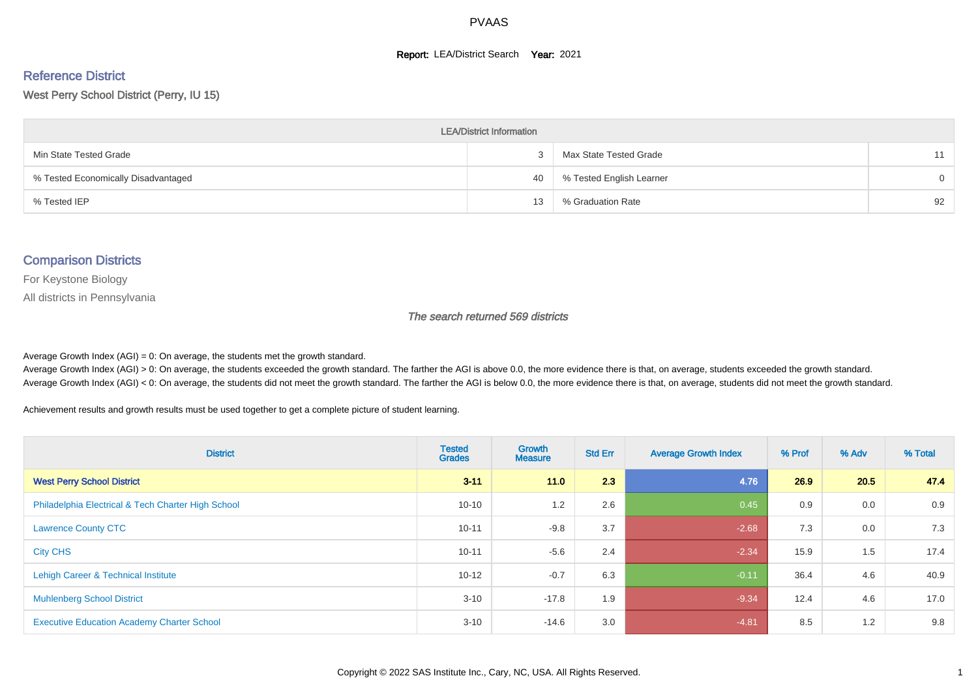#### **Report: LEA/District Search Year: 2021**

# Reference District

West Perry School District (Perry, IU 15)

| <b>LEA/District Information</b>     |    |                          |          |  |  |  |  |  |  |  |
|-------------------------------------|----|--------------------------|----------|--|--|--|--|--|--|--|
| Min State Tested Grade              |    | Max State Tested Grade   | 11       |  |  |  |  |  |  |  |
| % Tested Economically Disadvantaged | 40 | % Tested English Learner | $\Omega$ |  |  |  |  |  |  |  |
| % Tested IEP                        | 13 | % Graduation Rate        | 92       |  |  |  |  |  |  |  |

#### Comparison Districts

For Keystone Biology

All districts in Pennsylvania

The search returned 569 districts

Average Growth Index  $(AGI) = 0$ : On average, the students met the growth standard.

Average Growth Index (AGI) > 0: On average, the students exceeded the growth standard. The farther the AGI is above 0.0, the more evidence there is that, on average, students exceeded the growth standard. Average Growth Index (AGI) < 0: On average, the students did not meet the growth standard. The farther the AGI is below 0.0, the more evidence there is that, on average, students did not meet the growth standard.

Achievement results and growth results must be used together to get a complete picture of student learning.

| <b>District</b>                                    | <b>Tested</b><br><b>Grades</b> | Growth<br><b>Measure</b> | <b>Std Err</b> | <b>Average Growth Index</b> | % Prof | % Adv | % Total |
|----------------------------------------------------|--------------------------------|--------------------------|----------------|-----------------------------|--------|-------|---------|
| <b>West Perry School District</b>                  | $3 - 11$                       | 11.0                     | 2.3            | 4.76                        | 26.9   | 20.5  | 47.4    |
| Philadelphia Electrical & Tech Charter High School | $10 - 10$                      | 1.2                      | 2.6            | 0.45                        | 0.9    | 0.0   | 0.9     |
| <b>Lawrence County CTC</b>                         | $10 - 11$                      | $-9.8$                   | 3.7            | $-2.68$                     | 7.3    | 0.0   | 7.3     |
| <b>City CHS</b>                                    | $10 - 11$                      | $-5.6$                   | 2.4            | $-2.34$                     | 15.9   | 1.5   | 17.4    |
| Lehigh Career & Technical Institute                | $10 - 12$                      | $-0.7$                   | 6.3            | $-0.11$                     | 36.4   | 4.6   | 40.9    |
| <b>Muhlenberg School District</b>                  | $3 - 10$                       | $-17.8$                  | 1.9            | $-9.34$                     | 12.4   | 4.6   | 17.0    |
| <b>Executive Education Academy Charter School</b>  | $3 - 10$                       | $-14.6$                  | 3.0            | $-4.81$                     | 8.5    | 1.2   | 9.8     |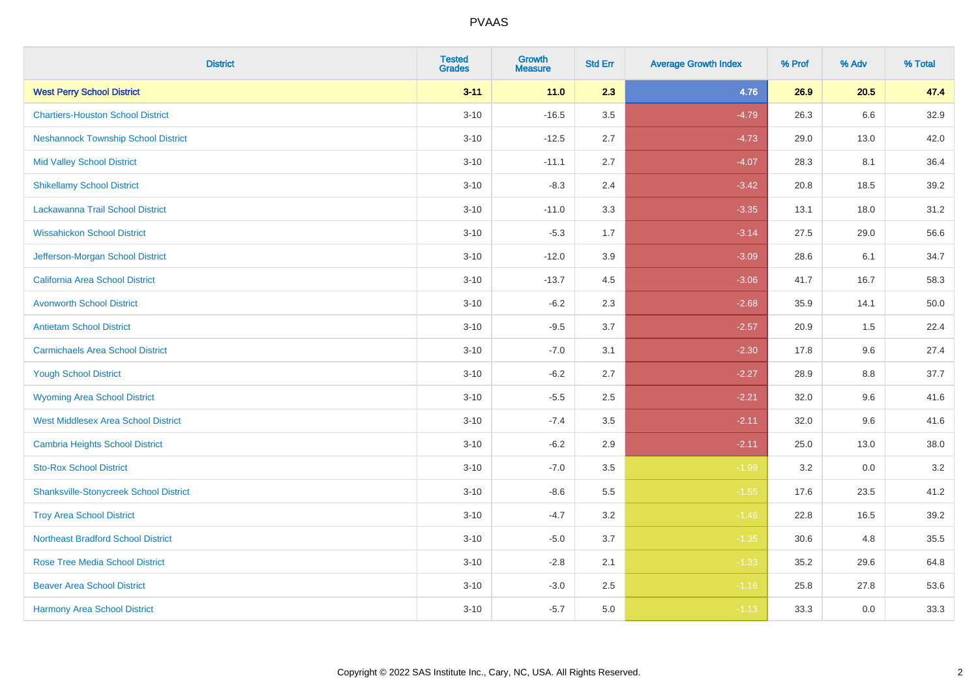| <b>District</b>                               | <b>Tested</b><br><b>Grades</b> | <b>Growth</b><br><b>Measure</b> | <b>Std Err</b> | <b>Average Growth Index</b> | % Prof | % Adv   | % Total |
|-----------------------------------------------|--------------------------------|---------------------------------|----------------|-----------------------------|--------|---------|---------|
| <b>West Perry School District</b>             | $3 - 11$                       | $11.0$                          | 2.3            | 4.76                        | 26.9   | 20.5    | 47.4    |
| <b>Chartiers-Houston School District</b>      | $3 - 10$                       | $-16.5$                         | 3.5            | $-4.79$                     | 26.3   | 6.6     | 32.9    |
| <b>Neshannock Township School District</b>    | $3 - 10$                       | $-12.5$                         | 2.7            | $-4.73$                     | 29.0   | 13.0    | 42.0    |
| <b>Mid Valley School District</b>             | $3 - 10$                       | $-11.1$                         | 2.7            | $-4.07$                     | 28.3   | 8.1     | 36.4    |
| <b>Shikellamy School District</b>             | $3 - 10$                       | $-8.3$                          | 2.4            | $-3.42$                     | 20.8   | 18.5    | 39.2    |
| Lackawanna Trail School District              | $3 - 10$                       | $-11.0$                         | 3.3            | $-3.35$                     | 13.1   | 18.0    | 31.2    |
| <b>Wissahickon School District</b>            | $3 - 10$                       | $-5.3$                          | 1.7            | $-3.14$                     | 27.5   | 29.0    | 56.6    |
| Jefferson-Morgan School District              | $3 - 10$                       | $-12.0$                         | 3.9            | $-3.09$                     | 28.6   | 6.1     | 34.7    |
| <b>California Area School District</b>        | $3 - 10$                       | $-13.7$                         | 4.5            | $-3.06$                     | 41.7   | 16.7    | 58.3    |
| <b>Avonworth School District</b>              | $3 - 10$                       | $-6.2$                          | 2.3            | $-2.68$                     | 35.9   | 14.1    | 50.0    |
| <b>Antietam School District</b>               | $3 - 10$                       | $-9.5$                          | 3.7            | $-2.57$                     | 20.9   | 1.5     | 22.4    |
| <b>Carmichaels Area School District</b>       | $3 - 10$                       | $-7.0$                          | 3.1            | $-2.30$                     | 17.8   | 9.6     | 27.4    |
| <b>Yough School District</b>                  | $3 - 10$                       | $-6.2$                          | 2.7            | $-2.27$                     | 28.9   | $8.8\,$ | 37.7    |
| <b>Wyoming Area School District</b>           | $3 - 10$                       | $-5.5$                          | 2.5            | $-2.21$                     | 32.0   | 9.6     | 41.6    |
| <b>West Middlesex Area School District</b>    | $3 - 10$                       | $-7.4$                          | 3.5            | $-2.11$                     | 32.0   | 9.6     | 41.6    |
| <b>Cambria Heights School District</b>        | $3 - 10$                       | $-6.2$                          | 2.9            | $-2.11$                     | 25.0   | 13.0    | 38.0    |
| <b>Sto-Rox School District</b>                | $3 - 10$                       | $-7.0$                          | 3.5            | $-1.99$                     | 3.2    | 0.0     | 3.2     |
| <b>Shanksville-Stonycreek School District</b> | $3 - 10$                       | $-8.6$                          | 5.5            | $-1.55$                     | 17.6   | 23.5    | 41.2    |
| <b>Troy Area School District</b>              | $3 - 10$                       | $-4.7$                          | 3.2            | $-1.46$                     | 22.8   | 16.5    | 39.2    |
| <b>Northeast Bradford School District</b>     | $3 - 10$                       | $-5.0$                          | 3.7            | $-1.35$                     | 30.6   | 4.8     | 35.5    |
| <b>Rose Tree Media School District</b>        | $3 - 10$                       | $-2.8$                          | 2.1            | $-1.33$                     | 35.2   | 29.6    | 64.8    |
| <b>Beaver Area School District</b>            | $3 - 10$                       | $-3.0$                          | 2.5            | $-1.16$                     | 25.8   | 27.8    | 53.6    |
| <b>Harmony Area School District</b>           | $3 - 10$                       | $-5.7$                          | 5.0            | $-1.13$                     | 33.3   | 0.0     | 33.3    |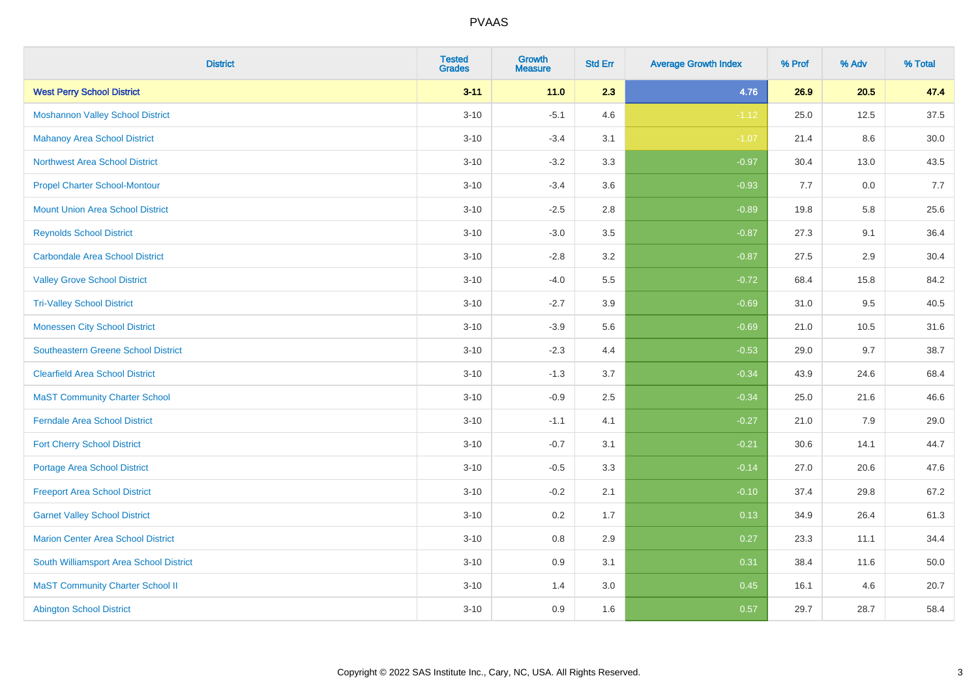| <b>District</b>                            | <b>Tested</b><br><b>Grades</b> | <b>Growth</b><br><b>Measure</b> | <b>Std Err</b> | <b>Average Growth Index</b> | % Prof | % Adv | % Total |
|--------------------------------------------|--------------------------------|---------------------------------|----------------|-----------------------------|--------|-------|---------|
| <b>West Perry School District</b>          | $3 - 11$                       | 11.0                            | 2.3            | 4.76                        | 26.9   | 20.5  | 47.4    |
| <b>Moshannon Valley School District</b>    | $3 - 10$                       | $-5.1$                          | 4.6            | $-1.12$                     | 25.0   | 12.5  | 37.5    |
| <b>Mahanoy Area School District</b>        | $3 - 10$                       | $-3.4$                          | 3.1            | $-1.07$                     | 21.4   | 8.6   | 30.0    |
| <b>Northwest Area School District</b>      | $3 - 10$                       | $-3.2$                          | 3.3            | $-0.97$                     | 30.4   | 13.0  | 43.5    |
| <b>Propel Charter School-Montour</b>       | $3 - 10$                       | $-3.4$                          | 3.6            | $-0.93$                     | 7.7    | 0.0   | 7.7     |
| <b>Mount Union Area School District</b>    | $3 - 10$                       | $-2.5$                          | 2.8            | $-0.89$                     | 19.8   | 5.8   | 25.6    |
| <b>Reynolds School District</b>            | $3 - 10$                       | $-3.0$                          | 3.5            | $-0.87$                     | 27.3   | 9.1   | 36.4    |
| <b>Carbondale Area School District</b>     | $3 - 10$                       | $-2.8$                          | 3.2            | $-0.87$                     | 27.5   | 2.9   | 30.4    |
| <b>Valley Grove School District</b>        | $3 - 10$                       | $-4.0$                          | 5.5            | $-0.72$                     | 68.4   | 15.8  | 84.2    |
| <b>Tri-Valley School District</b>          | $3 - 10$                       | $-2.7$                          | 3.9            | $-0.69$                     | 31.0   | 9.5   | 40.5    |
| <b>Monessen City School District</b>       | $3 - 10$                       | $-3.9$                          | 5.6            | $-0.69$                     | 21.0   | 10.5  | 31.6    |
| <b>Southeastern Greene School District</b> | $3 - 10$                       | $-2.3$                          | 4.4            | $-0.53$                     | 29.0   | 9.7   | 38.7    |
| <b>Clearfield Area School District</b>     | $3 - 10$                       | $-1.3$                          | 3.7            | $-0.34$                     | 43.9   | 24.6  | 68.4    |
| <b>MaST Community Charter School</b>       | $3 - 10$                       | $-0.9$                          | 2.5            | $-0.34$                     | 25.0   | 21.6  | 46.6    |
| <b>Ferndale Area School District</b>       | $3 - 10$                       | $-1.1$                          | 4.1            | $-0.27$                     | 21.0   | 7.9   | 29.0    |
| <b>Fort Cherry School District</b>         | $3 - 10$                       | $-0.7$                          | 3.1            | $-0.21$                     | 30.6   | 14.1  | 44.7    |
| <b>Portage Area School District</b>        | $3 - 10$                       | $-0.5$                          | 3.3            | $-0.14$                     | 27.0   | 20.6  | 47.6    |
| <b>Freeport Area School District</b>       | $3 - 10$                       | $-0.2$                          | 2.1            | $-0.10$                     | 37.4   | 29.8  | 67.2    |
| <b>Garnet Valley School District</b>       | $3 - 10$                       | 0.2                             | 1.7            | 0.13                        | 34.9   | 26.4  | 61.3    |
| <b>Marion Center Area School District</b>  | $3 - 10$                       | $0.8\,$                         | 2.9            | 0.27                        | 23.3   | 11.1  | 34.4    |
| South Williamsport Area School District    | $3 - 10$                       | 0.9                             | 3.1            | 0.31                        | 38.4   | 11.6  | 50.0    |
| <b>MaST Community Charter School II</b>    | $3 - 10$                       | 1.4                             | 3.0            | 0.45                        | 16.1   | 4.6   | 20.7    |
| <b>Abington School District</b>            | $3 - 10$                       | 0.9                             | 1.6            | 0.57                        | 29.7   | 28.7  | 58.4    |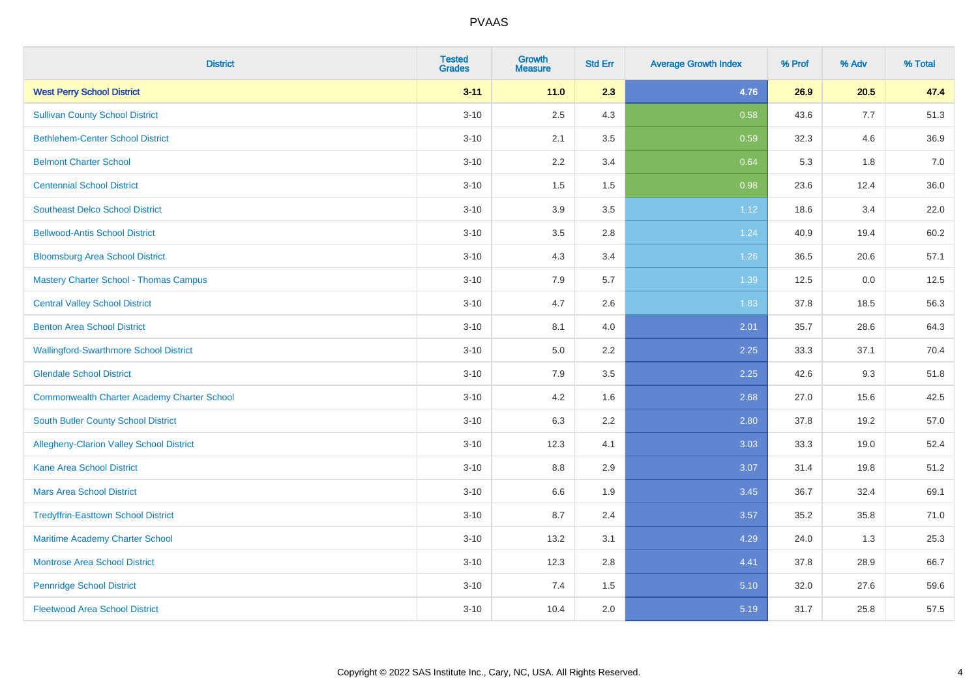| <b>District</b>                                    | <b>Tested</b><br><b>Grades</b> | <b>Growth</b><br><b>Measure</b> | <b>Std Err</b> | <b>Average Growth Index</b> | % Prof | % Adv | % Total |
|----------------------------------------------------|--------------------------------|---------------------------------|----------------|-----------------------------|--------|-------|---------|
| <b>West Perry School District</b>                  | $3 - 11$                       | $11.0$                          | 2.3            | 4.76                        | 26.9   | 20.5  | 47.4    |
| <b>Sullivan County School District</b>             | $3 - 10$                       | 2.5                             | 4.3            | 0.58                        | 43.6   | 7.7   | 51.3    |
| <b>Bethlehem-Center School District</b>            | $3 - 10$                       | 2.1                             | 3.5            | 0.59                        | 32.3   | 4.6   | 36.9    |
| <b>Belmont Charter School</b>                      | $3 - 10$                       | 2.2                             | 3.4            | 0.64                        | 5.3    | 1.8   | $7.0\,$ |
| <b>Centennial School District</b>                  | $3 - 10$                       | 1.5                             | 1.5            | 0.98                        | 23.6   | 12.4  | 36.0    |
| <b>Southeast Delco School District</b>             | $3 - 10$                       | 3.9                             | 3.5            | 1.12                        | 18.6   | 3.4   | 22.0    |
| <b>Bellwood-Antis School District</b>              | $3 - 10$                       | 3.5                             | 2.8            | 1.24                        | 40.9   | 19.4  | 60.2    |
| <b>Bloomsburg Area School District</b>             | $3 - 10$                       | 4.3                             | 3.4            | 1.26                        | 36.5   | 20.6  | 57.1    |
| <b>Mastery Charter School - Thomas Campus</b>      | $3 - 10$                       | 7.9                             | 5.7            | 1.39                        | 12.5   | 0.0   | 12.5    |
| <b>Central Valley School District</b>              | $3 - 10$                       | 4.7                             | $2.6\,$        | 1.83                        | 37.8   | 18.5  | 56.3    |
| <b>Benton Area School District</b>                 | $3 - 10$                       | 8.1                             | 4.0            | 2.01                        | 35.7   | 28.6  | 64.3    |
| <b>Wallingford-Swarthmore School District</b>      | $3 - 10$                       | $5.0\,$                         | 2.2            | 2.25                        | 33.3   | 37.1  | 70.4    |
| <b>Glendale School District</b>                    | $3 - 10$                       | 7.9                             | 3.5            | 2.25                        | 42.6   | 9.3   | 51.8    |
| <b>Commonwealth Charter Academy Charter School</b> | $3 - 10$                       | 4.2                             | 1.6            | 2.68                        | 27.0   | 15.6  | 42.5    |
| <b>South Butler County School District</b>         | $3 - 10$                       | 6.3                             | 2.2            | 2.80                        | 37.8   | 19.2  | 57.0    |
| <b>Allegheny-Clarion Valley School District</b>    | $3 - 10$                       | 12.3                            | 4.1            | 3.03                        | 33.3   | 19.0  | 52.4    |
| <b>Kane Area School District</b>                   | $3 - 10$                       | 8.8                             | 2.9            | 3.07                        | 31.4   | 19.8  | 51.2    |
| <b>Mars Area School District</b>                   | $3 - 10$                       | 6.6                             | 1.9            | 3.45                        | 36.7   | 32.4  | 69.1    |
| <b>Tredyffrin-Easttown School District</b>         | $3 - 10$                       | 8.7                             | 2.4            | 3.57                        | 35.2   | 35.8  | 71.0    |
| Maritime Academy Charter School                    | $3 - 10$                       | 13.2                            | 3.1            | 4.29                        | 24.0   | 1.3   | 25.3    |
| <b>Montrose Area School District</b>               | $3 - 10$                       | 12.3                            | 2.8            | 4.41                        | 37.8   | 28.9  | 66.7    |
| <b>Pennridge School District</b>                   | $3 - 10$                       | 7.4                             | 1.5            | 5.10                        | 32.0   | 27.6  | 59.6    |
| <b>Fleetwood Area School District</b>              | $3 - 10$                       | 10.4                            | 2.0            | 5.19                        | 31.7   | 25.8  | 57.5    |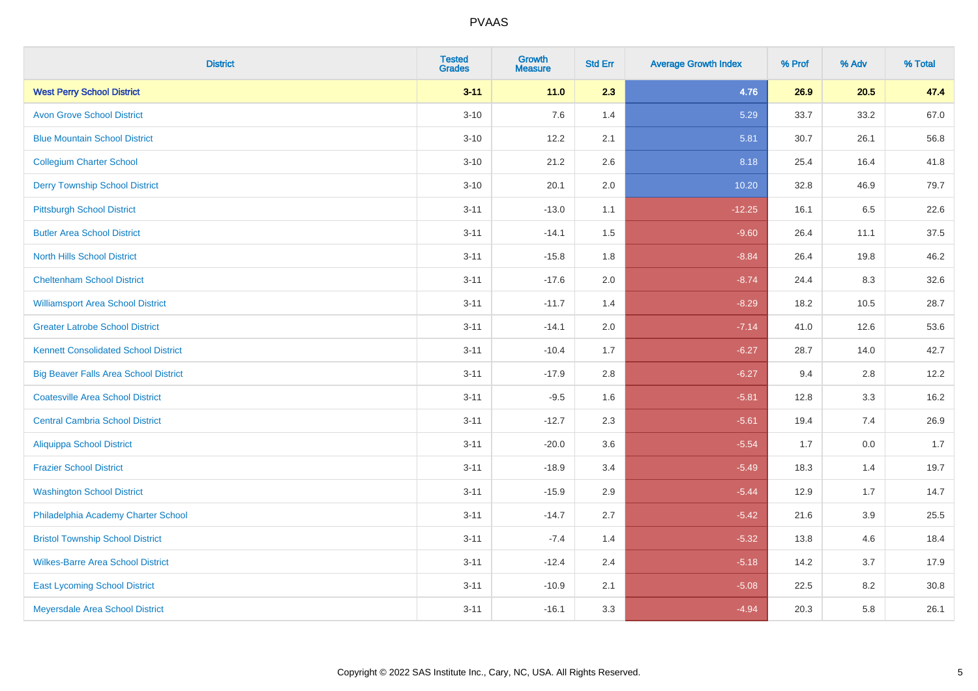| <b>District</b>                              | <b>Tested</b><br><b>Grades</b> | <b>Growth</b><br><b>Measure</b> | <b>Std Err</b> | <b>Average Growth Index</b> | % Prof | % Adv | % Total |
|----------------------------------------------|--------------------------------|---------------------------------|----------------|-----------------------------|--------|-------|---------|
| <b>West Perry School District</b>            | $3 - 11$                       | 11.0                            | 2.3            | 4.76                        | 26.9   | 20.5  | 47.4    |
| <b>Avon Grove School District</b>            | $3 - 10$                       | 7.6                             | 1.4            | 5.29                        | 33.7   | 33.2  | 67.0    |
| <b>Blue Mountain School District</b>         | $3 - 10$                       | 12.2                            | 2.1            | 5.81                        | 30.7   | 26.1  | 56.8    |
| <b>Collegium Charter School</b>              | $3 - 10$                       | 21.2                            | 2.6            | 8.18                        | 25.4   | 16.4  | 41.8    |
| <b>Derry Township School District</b>        | $3 - 10$                       | 20.1                            | 2.0            | 10.20                       | 32.8   | 46.9  | 79.7    |
| <b>Pittsburgh School District</b>            | $3 - 11$                       | $-13.0$                         | 1.1            | $-12.25$                    | 16.1   | 6.5   | 22.6    |
| <b>Butler Area School District</b>           | $3 - 11$                       | $-14.1$                         | 1.5            | $-9.60$                     | 26.4   | 11.1  | 37.5    |
| <b>North Hills School District</b>           | $3 - 11$                       | $-15.8$                         | 1.8            | $-8.84$                     | 26.4   | 19.8  | 46.2    |
| <b>Cheltenham School District</b>            | $3 - 11$                       | $-17.6$                         | 2.0            | $-8.74$                     | 24.4   | 8.3   | 32.6    |
| <b>Williamsport Area School District</b>     | $3 - 11$                       | $-11.7$                         | 1.4            | $-8.29$                     | 18.2   | 10.5  | 28.7    |
| <b>Greater Latrobe School District</b>       | $3 - 11$                       | $-14.1$                         | 2.0            | $-7.14$                     | 41.0   | 12.6  | 53.6    |
| <b>Kennett Consolidated School District</b>  | $3 - 11$                       | $-10.4$                         | 1.7            | $-6.27$                     | 28.7   | 14.0  | 42.7    |
| <b>Big Beaver Falls Area School District</b> | $3 - 11$                       | $-17.9$                         | 2.8            | $-6.27$                     | 9.4    | 2.8   | 12.2    |
| <b>Coatesville Area School District</b>      | $3 - 11$                       | $-9.5$                          | 1.6            | $-5.81$                     | 12.8   | 3.3   | 16.2    |
| <b>Central Cambria School District</b>       | $3 - 11$                       | $-12.7$                         | 2.3            | $-5.61$                     | 19.4   | 7.4   | 26.9    |
| <b>Aliquippa School District</b>             | $3 - 11$                       | $-20.0$                         | 3.6            | $-5.54$                     | 1.7    | 0.0   | 1.7     |
| <b>Frazier School District</b>               | $3 - 11$                       | $-18.9$                         | 3.4            | $-5.49$                     | 18.3   | 1.4   | 19.7    |
| <b>Washington School District</b>            | $3 - 11$                       | $-15.9$                         | 2.9            | $-5.44$                     | 12.9   | 1.7   | 14.7    |
| Philadelphia Academy Charter School          | $3 - 11$                       | $-14.7$                         | 2.7            | $-5.42$                     | 21.6   | 3.9   | 25.5    |
| <b>Bristol Township School District</b>      | $3 - 11$                       | $-7.4$                          | 1.4            | $-5.32$                     | 13.8   | 4.6   | 18.4    |
| <b>Wilkes-Barre Area School District</b>     | $3 - 11$                       | $-12.4$                         | 2.4            | $-5.18$                     | 14.2   | 3.7   | 17.9    |
| <b>East Lycoming School District</b>         | $3 - 11$                       | $-10.9$                         | 2.1            | $-5.08$                     | 22.5   | 8.2   | 30.8    |
| Meyersdale Area School District              | $3 - 11$                       | $-16.1$                         | 3.3            | $-4.94$                     | 20.3   | 5.8   | 26.1    |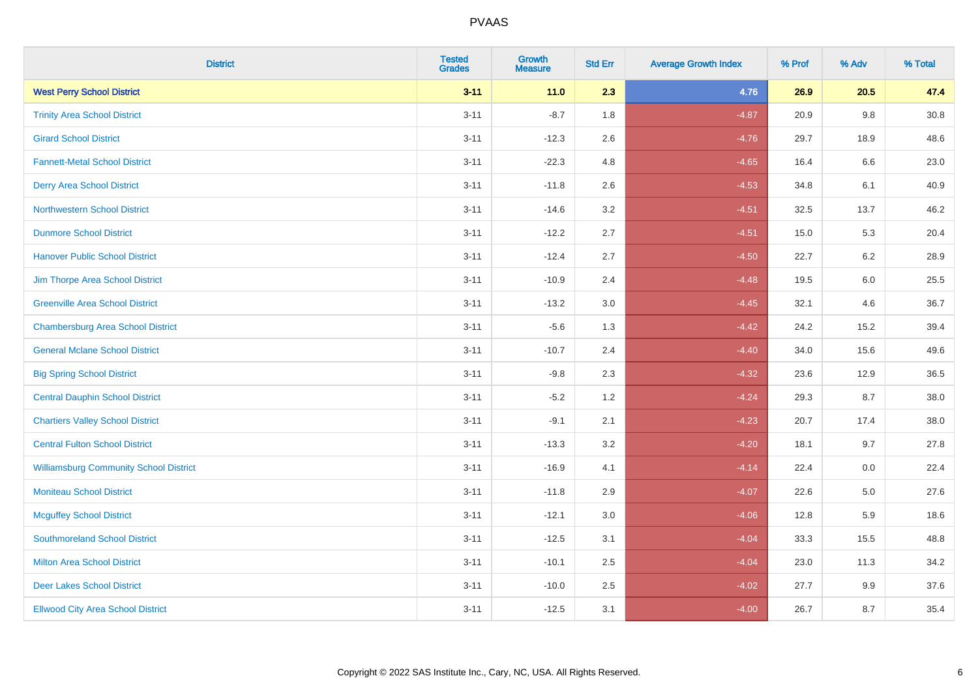| <b>District</b>                               | <b>Tested</b><br><b>Grades</b> | <b>Growth</b><br><b>Measure</b> | <b>Std Err</b> | <b>Average Growth Index</b> | % Prof | % Adv   | % Total |
|-----------------------------------------------|--------------------------------|---------------------------------|----------------|-----------------------------|--------|---------|---------|
| <b>West Perry School District</b>             | $3 - 11$                       | $11.0$                          | 2.3            | 4.76                        | 26.9   | 20.5    | 47.4    |
| <b>Trinity Area School District</b>           | $3 - 11$                       | $-8.7$                          | 1.8            | $-4.87$                     | 20.9   | 9.8     | 30.8    |
| <b>Girard School District</b>                 | $3 - 11$                       | $-12.3$                         | 2.6            | $-4.76$                     | 29.7   | 18.9    | 48.6    |
| <b>Fannett-Metal School District</b>          | $3 - 11$                       | $-22.3$                         | 4.8            | $-4.65$                     | 16.4   | $6.6\,$ | 23.0    |
| <b>Derry Area School District</b>             | $3 - 11$                       | $-11.8$                         | 2.6            | $-4.53$                     | 34.8   | 6.1     | 40.9    |
| <b>Northwestern School District</b>           | $3 - 11$                       | $-14.6$                         | 3.2            | $-4.51$                     | 32.5   | 13.7    | 46.2    |
| <b>Dunmore School District</b>                | $3 - 11$                       | $-12.2$                         | 2.7            | $-4.51$                     | 15.0   | 5.3     | 20.4    |
| <b>Hanover Public School District</b>         | $3 - 11$                       | $-12.4$                         | 2.7            | $-4.50$                     | 22.7   | 6.2     | 28.9    |
| Jim Thorpe Area School District               | $3 - 11$                       | $-10.9$                         | 2.4            | $-4.48$                     | 19.5   | 6.0     | 25.5    |
| <b>Greenville Area School District</b>        | $3 - 11$                       | $-13.2$                         | 3.0            | $-4.45$                     | 32.1   | 4.6     | 36.7    |
| <b>Chambersburg Area School District</b>      | $3 - 11$                       | $-5.6$                          | 1.3            | $-4.42$                     | 24.2   | 15.2    | 39.4    |
| <b>General Mclane School District</b>         | $3 - 11$                       | $-10.7$                         | 2.4            | $-4.40$                     | 34.0   | 15.6    | 49.6    |
| <b>Big Spring School District</b>             | $3 - 11$                       | $-9.8$                          | 2.3            | $-4.32$                     | 23.6   | 12.9    | 36.5    |
| <b>Central Dauphin School District</b>        | $3 - 11$                       | $-5.2$                          | 1.2            | $-4.24$                     | 29.3   | 8.7     | 38.0    |
| <b>Chartiers Valley School District</b>       | $3 - 11$                       | $-9.1$                          | 2.1            | $-4.23$                     | 20.7   | 17.4    | 38.0    |
| <b>Central Fulton School District</b>         | $3 - 11$                       | $-13.3$                         | 3.2            | $-4.20$                     | 18.1   | 9.7     | 27.8    |
| <b>Williamsburg Community School District</b> | $3 - 11$                       | $-16.9$                         | 4.1            | $-4.14$                     | 22.4   | 0.0     | 22.4    |
| <b>Moniteau School District</b>               | $3 - 11$                       | $-11.8$                         | 2.9            | $-4.07$                     | 22.6   | 5.0     | 27.6    |
| <b>Mcguffey School District</b>               | $3 - 11$                       | $-12.1$                         | 3.0            | $-4.06$                     | 12.8   | 5.9     | 18.6    |
| <b>Southmoreland School District</b>          | $3 - 11$                       | $-12.5$                         | 3.1            | $-4.04$                     | 33.3   | 15.5    | 48.8    |
| <b>Milton Area School District</b>            | $3 - 11$                       | $-10.1$                         | 2.5            | $-4.04$                     | 23.0   | 11.3    | 34.2    |
| <b>Deer Lakes School District</b>             | $3 - 11$                       | $-10.0$                         | 2.5            | $-4.02$                     | 27.7   | 9.9     | 37.6    |
| <b>Ellwood City Area School District</b>      | $3 - 11$                       | $-12.5$                         | 3.1            | $-4.00$                     | 26.7   | 8.7     | 35.4    |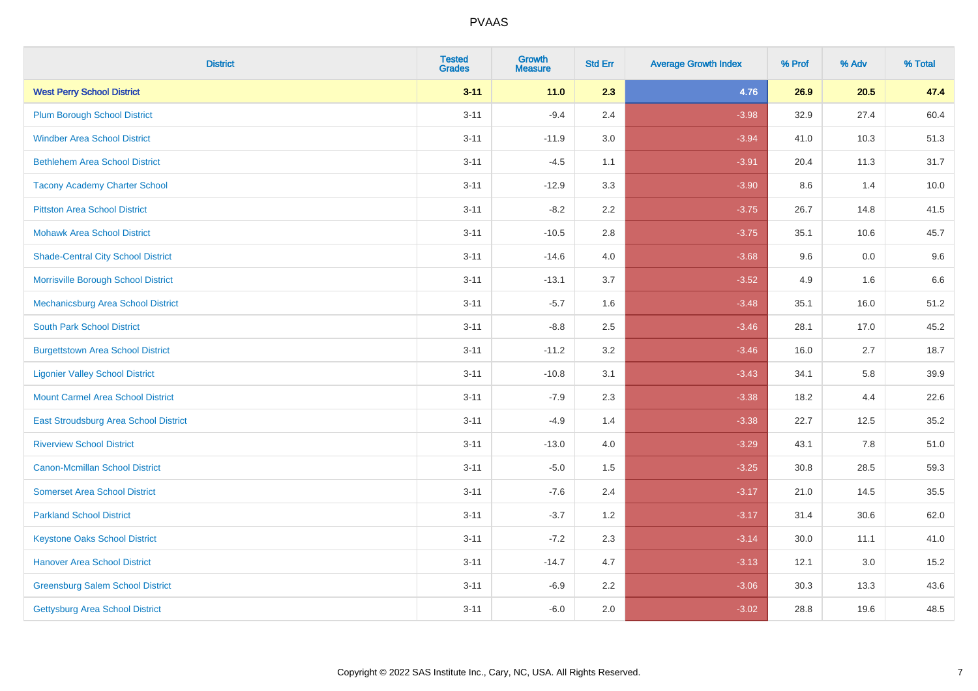| <b>District</b>                           | <b>Tested</b><br><b>Grades</b> | Growth<br><b>Measure</b> | <b>Std Err</b> | <b>Average Growth Index</b> | % Prof | % Adv | % Total |
|-------------------------------------------|--------------------------------|--------------------------|----------------|-----------------------------|--------|-------|---------|
| <b>West Perry School District</b>         | $3 - 11$                       | $11.0$                   | 2.3            | 4.76                        | 26.9   | 20.5  | 47.4    |
| <b>Plum Borough School District</b>       | $3 - 11$                       | $-9.4$                   | 2.4            | $-3.98$                     | 32.9   | 27.4  | 60.4    |
| <b>Windber Area School District</b>       | $3 - 11$                       | $-11.9$                  | 3.0            | $-3.94$                     | 41.0   | 10.3  | 51.3    |
| <b>Bethlehem Area School District</b>     | $3 - 11$                       | $-4.5$                   | 1.1            | $-3.91$                     | 20.4   | 11.3  | 31.7    |
| <b>Tacony Academy Charter School</b>      | $3 - 11$                       | $-12.9$                  | 3.3            | $-3.90$                     | 8.6    | 1.4   | 10.0    |
| <b>Pittston Area School District</b>      | $3 - 11$                       | $-8.2$                   | 2.2            | $-3.75$                     | 26.7   | 14.8  | 41.5    |
| <b>Mohawk Area School District</b>        | $3 - 11$                       | $-10.5$                  | 2.8            | $-3.75$                     | 35.1   | 10.6  | 45.7    |
| <b>Shade-Central City School District</b> | $3 - 11$                       | $-14.6$                  | 4.0            | $-3.68$                     | 9.6    | 0.0   | 9.6     |
| Morrisville Borough School District       | $3 - 11$                       | $-13.1$                  | 3.7            | $-3.52$                     | 4.9    | 1.6   | 6.6     |
| Mechanicsburg Area School District        | $3 - 11$                       | $-5.7$                   | 1.6            | $-3.48$                     | 35.1   | 16.0  | 51.2    |
| <b>South Park School District</b>         | $3 - 11$                       | $-8.8$                   | 2.5            | $-3.46$                     | 28.1   | 17.0  | 45.2    |
| <b>Burgettstown Area School District</b>  | $3 - 11$                       | $-11.2$                  | 3.2            | $-3.46$                     | 16.0   | 2.7   | 18.7    |
| <b>Ligonier Valley School District</b>    | $3 - 11$                       | $-10.8$                  | 3.1            | $-3.43$                     | 34.1   | 5.8   | 39.9    |
| <b>Mount Carmel Area School District</b>  | $3 - 11$                       | $-7.9$                   | 2.3            | $-3.38$                     | 18.2   | 4.4   | 22.6    |
| East Stroudsburg Area School District     | $3 - 11$                       | $-4.9$                   | 1.4            | $-3.38$                     | 22.7   | 12.5  | 35.2    |
| <b>Riverview School District</b>          | $3 - 11$                       | $-13.0$                  | 4.0            | $-3.29$                     | 43.1   | 7.8   | 51.0    |
| <b>Canon-Mcmillan School District</b>     | $3 - 11$                       | $-5.0$                   | 1.5            | $-3.25$                     | 30.8   | 28.5  | 59.3    |
| <b>Somerset Area School District</b>      | $3 - 11$                       | $-7.6$                   | 2.4            | $-3.17$                     | 21.0   | 14.5  | 35.5    |
| <b>Parkland School District</b>           | $3 - 11$                       | $-3.7$                   | 1.2            | $-3.17$                     | 31.4   | 30.6  | 62.0    |
| <b>Keystone Oaks School District</b>      | $3 - 11$                       | $-7.2$                   | 2.3            | $-3.14$                     | 30.0   | 11.1  | 41.0    |
| <b>Hanover Area School District</b>       | $3 - 11$                       | $-14.7$                  | 4.7            | $-3.13$                     | 12.1   | 3.0   | 15.2    |
| <b>Greensburg Salem School District</b>   | $3 - 11$                       | $-6.9$                   | 2.2            | $-3.06$                     | 30.3   | 13.3  | 43.6    |
| Gettysburg Area School District           | $3 - 11$                       | $-6.0$                   | 2.0            | $-3.02$                     | 28.8   | 19.6  | 48.5    |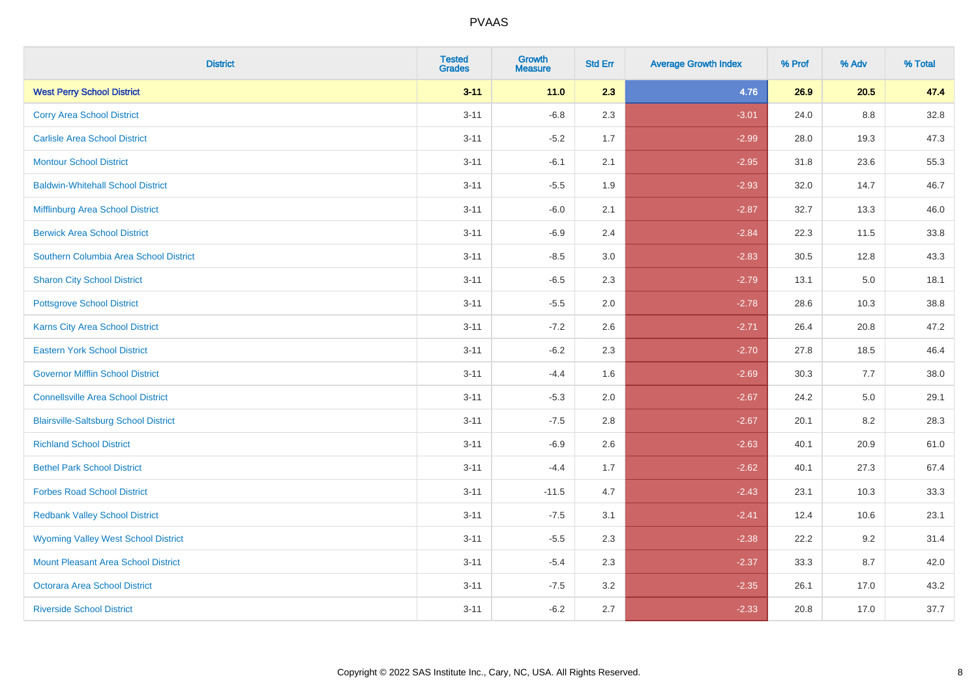| <b>District</b>                              | <b>Tested</b><br><b>Grades</b> | <b>Growth</b><br><b>Measure</b> | <b>Std Err</b> | <b>Average Growth Index</b> | % Prof | % Adv   | % Total |
|----------------------------------------------|--------------------------------|---------------------------------|----------------|-----------------------------|--------|---------|---------|
| <b>West Perry School District</b>            | $3 - 11$                       | $11.0$                          | 2.3            | 4.76                        | 26.9   | 20.5    | 47.4    |
| <b>Corry Area School District</b>            | $3 - 11$                       | $-6.8$                          | 2.3            | $-3.01$                     | 24.0   | 8.8     | 32.8    |
| <b>Carlisle Area School District</b>         | $3 - 11$                       | $-5.2$                          | 1.7            | $-2.99$                     | 28.0   | 19.3    | 47.3    |
| <b>Montour School District</b>               | $3 - 11$                       | $-6.1$                          | 2.1            | $-2.95$                     | 31.8   | 23.6    | 55.3    |
| <b>Baldwin-Whitehall School District</b>     | $3 - 11$                       | $-5.5$                          | 1.9            | $-2.93$                     | 32.0   | 14.7    | 46.7    |
| Mifflinburg Area School District             | $3 - 11$                       | $-6.0$                          | 2.1            | $-2.87$                     | 32.7   | 13.3    | 46.0    |
| <b>Berwick Area School District</b>          | $3 - 11$                       | $-6.9$                          | 2.4            | $-2.84$                     | 22.3   | 11.5    | 33.8    |
| Southern Columbia Area School District       | $3 - 11$                       | $-8.5$                          | 3.0            | $-2.83$                     | 30.5   | 12.8    | 43.3    |
| <b>Sharon City School District</b>           | $3 - 11$                       | $-6.5$                          | 2.3            | $-2.79$                     | 13.1   | 5.0     | 18.1    |
| <b>Pottsgrove School District</b>            | $3 - 11$                       | $-5.5$                          | 2.0            | $-2.78$                     | 28.6   | 10.3    | 38.8    |
| <b>Karns City Area School District</b>       | $3 - 11$                       | $-7.2$                          | 2.6            | $-2.71$                     | 26.4   | 20.8    | 47.2    |
| <b>Eastern York School District</b>          | $3 - 11$                       | $-6.2$                          | 2.3            | $-2.70$                     | 27.8   | 18.5    | 46.4    |
| <b>Governor Mifflin School District</b>      | $3 - 11$                       | $-4.4$                          | 1.6            | $-2.69$                     | 30.3   | 7.7     | 38.0    |
| <b>Connellsville Area School District</b>    | $3 - 11$                       | $-5.3$                          | 2.0            | $-2.67$                     | 24.2   | $5.0\,$ | 29.1    |
| <b>Blairsville-Saltsburg School District</b> | $3 - 11$                       | $-7.5$                          | 2.8            | $-2.67$                     | 20.1   | 8.2     | 28.3    |
| <b>Richland School District</b>              | $3 - 11$                       | $-6.9$                          | 2.6            | $-2.63$                     | 40.1   | 20.9    | 61.0    |
| <b>Bethel Park School District</b>           | $3 - 11$                       | $-4.4$                          | 1.7            | $-2.62$                     | 40.1   | 27.3    | 67.4    |
| <b>Forbes Road School District</b>           | $3 - 11$                       | $-11.5$                         | 4.7            | $-2.43$                     | 23.1   | 10.3    | 33.3    |
| <b>Redbank Valley School District</b>        | $3 - 11$                       | $-7.5$                          | 3.1            | $-2.41$                     | 12.4   | 10.6    | 23.1    |
| <b>Wyoming Valley West School District</b>   | $3 - 11$                       | $-5.5$                          | 2.3            | $-2.38$                     | 22.2   | 9.2     | 31.4    |
| Mount Pleasant Area School District          | $3 - 11$                       | $-5.4$                          | 2.3            | $-2.37$                     | 33.3   | 8.7     | 42.0    |
| <b>Octorara Area School District</b>         | $3 - 11$                       | $-7.5$                          | 3.2            | $-2.35$                     | 26.1   | 17.0    | 43.2    |
| <b>Riverside School District</b>             | $3 - 11$                       | $-6.2$                          | 2.7            | $-2.33$                     | 20.8   | 17.0    | 37.7    |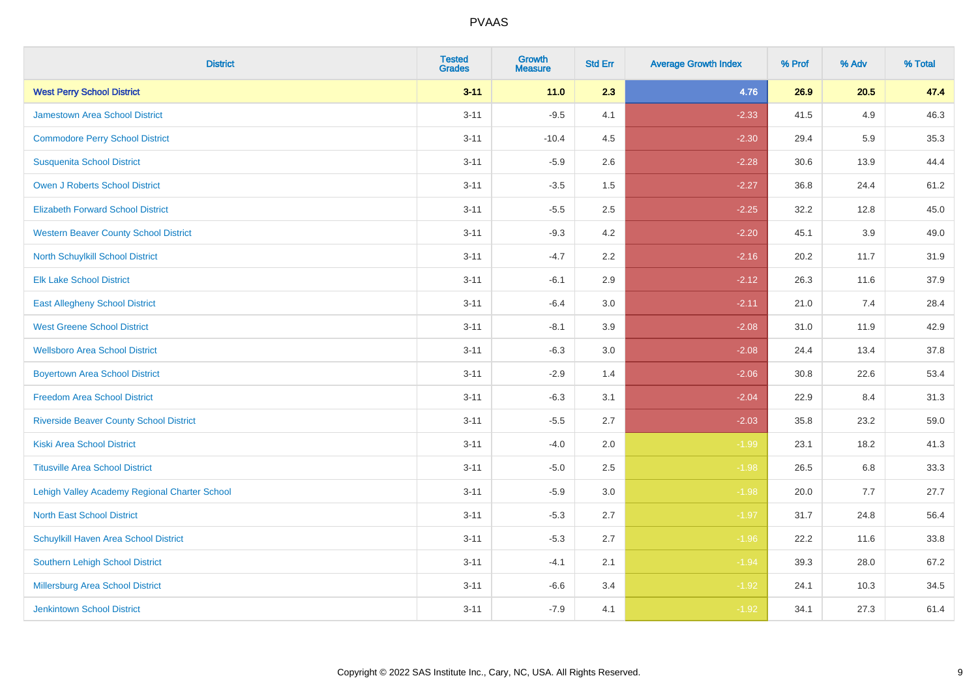| <b>District</b>                                | <b>Tested</b><br><b>Grades</b> | <b>Growth</b><br><b>Measure</b> | <b>Std Err</b> | <b>Average Growth Index</b> | % Prof | % Adv | % Total |
|------------------------------------------------|--------------------------------|---------------------------------|----------------|-----------------------------|--------|-------|---------|
| <b>West Perry School District</b>              | $3 - 11$                       | 11.0                            | 2.3            | 4.76                        | 26.9   | 20.5  | 47.4    |
| Jamestown Area School District                 | $3 - 11$                       | $-9.5$                          | 4.1            | $-2.33$                     | 41.5   | 4.9   | 46.3    |
| <b>Commodore Perry School District</b>         | $3 - 11$                       | $-10.4$                         | 4.5            | $-2.30$                     | 29.4   | 5.9   | 35.3    |
| <b>Susquenita School District</b>              | $3 - 11$                       | $-5.9$                          | 2.6            | $-2.28$                     | 30.6   | 13.9  | 44.4    |
| Owen J Roberts School District                 | $3 - 11$                       | $-3.5$                          | 1.5            | $-2.27$                     | 36.8   | 24.4  | 61.2    |
| <b>Elizabeth Forward School District</b>       | $3 - 11$                       | $-5.5$                          | 2.5            | $-2.25$                     | 32.2   | 12.8  | 45.0    |
| <b>Western Beaver County School District</b>   | $3 - 11$                       | $-9.3$                          | 4.2            | $-2.20$                     | 45.1   | 3.9   | 49.0    |
| North Schuylkill School District               | $3 - 11$                       | $-4.7$                          | 2.2            | $-2.16$                     | 20.2   | 11.7  | 31.9    |
| <b>Elk Lake School District</b>                | $3 - 11$                       | $-6.1$                          | 2.9            | $-2.12$                     | 26.3   | 11.6  | 37.9    |
| <b>East Allegheny School District</b>          | $3 - 11$                       | $-6.4$                          | 3.0            | $-2.11$                     | 21.0   | 7.4   | 28.4    |
| <b>West Greene School District</b>             | $3 - 11$                       | $-8.1$                          | 3.9            | $-2.08$                     | 31.0   | 11.9  | 42.9    |
| <b>Wellsboro Area School District</b>          | $3 - 11$                       | $-6.3$                          | 3.0            | $-2.08$                     | 24.4   | 13.4  | 37.8    |
| <b>Boyertown Area School District</b>          | $3 - 11$                       | $-2.9$                          | 1.4            | $-2.06$                     | 30.8   | 22.6  | 53.4    |
| <b>Freedom Area School District</b>            | $3 - 11$                       | $-6.3$                          | 3.1            | $-2.04$                     | 22.9   | 8.4   | 31.3    |
| <b>Riverside Beaver County School District</b> | $3 - 11$                       | $-5.5$                          | 2.7            | $-2.03$                     | 35.8   | 23.2  | 59.0    |
| <b>Kiski Area School District</b>              | $3 - 11$                       | $-4.0$                          | 2.0            | $-1.99$                     | 23.1   | 18.2  | 41.3    |
| <b>Titusville Area School District</b>         | $3 - 11$                       | $-5.0$                          | 2.5            | $-1.98$                     | 26.5   | 6.8   | 33.3    |
| Lehigh Valley Academy Regional Charter School  | $3 - 11$                       | $-5.9$                          | 3.0            | $-1.98$                     | 20.0   | 7.7   | 27.7    |
| <b>North East School District</b>              | $3 - 11$                       | $-5.3$                          | 2.7            | $-1.97$                     | 31.7   | 24.8  | 56.4    |
| Schuylkill Haven Area School District          | $3 - 11$                       | $-5.3$                          | 2.7            | $-1.96$                     | 22.2   | 11.6  | 33.8    |
| Southern Lehigh School District                | $3 - 11$                       | $-4.1$                          | 2.1            | $-1.94$                     | 39.3   | 28.0  | 67.2    |
| Millersburg Area School District               | $3 - 11$                       | $-6.6$                          | 3.4            | $-1.92$                     | 24.1   | 10.3  | 34.5    |
| Jenkintown School District                     | $3 - 11$                       | $-7.9$                          | 4.1            | $-1.92$                     | 34.1   | 27.3  | 61.4    |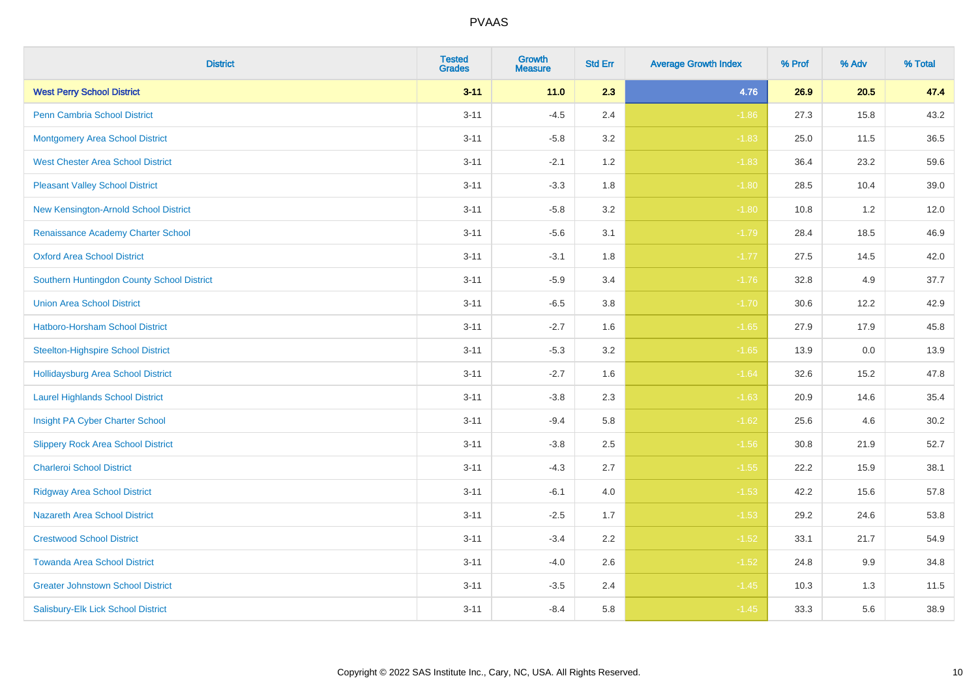| <b>District</b>                            | <b>Tested</b><br><b>Grades</b> | <b>Growth</b><br><b>Measure</b> | <b>Std Err</b> | <b>Average Growth Index</b> | % Prof | % Adv | % Total |
|--------------------------------------------|--------------------------------|---------------------------------|----------------|-----------------------------|--------|-------|---------|
| <b>West Perry School District</b>          | $3 - 11$                       | 11.0                            | 2.3            | 4.76                        | 26.9   | 20.5  | 47.4    |
| <b>Penn Cambria School District</b>        | $3 - 11$                       | $-4.5$                          | 2.4            | $-1.86$                     | 27.3   | 15.8  | 43.2    |
| <b>Montgomery Area School District</b>     | $3 - 11$                       | $-5.8$                          | 3.2            | $-1.83$                     | 25.0   | 11.5  | 36.5    |
| <b>West Chester Area School District</b>   | $3 - 11$                       | $-2.1$                          | 1.2            | $-1.83$                     | 36.4   | 23.2  | 59.6    |
| <b>Pleasant Valley School District</b>     | $3 - 11$                       | $-3.3$                          | 1.8            | $-1.80$                     | 28.5   | 10.4  | 39.0    |
| New Kensington-Arnold School District      | $3 - 11$                       | $-5.8$                          | 3.2            | $-1.80$                     | 10.8   | 1.2   | 12.0    |
| Renaissance Academy Charter School         | $3 - 11$                       | $-5.6$                          | 3.1            | $-1.79$                     | 28.4   | 18.5  | 46.9    |
| <b>Oxford Area School District</b>         | $3 - 11$                       | $-3.1$                          | 1.8            | $-1.77$                     | 27.5   | 14.5  | 42.0    |
| Southern Huntingdon County School District | $3 - 11$                       | $-5.9$                          | 3.4            | $-1.76$                     | 32.8   | 4.9   | 37.7    |
| <b>Union Area School District</b>          | $3 - 11$                       | $-6.5$                          | 3.8            | $-1.70$                     | 30.6   | 12.2  | 42.9    |
| Hatboro-Horsham School District            | $3 - 11$                       | $-2.7$                          | 1.6            | $-1.65$                     | 27.9   | 17.9  | 45.8    |
| <b>Steelton-Highspire School District</b>  | $3 - 11$                       | $-5.3$                          | 3.2            | $-1.65$                     | 13.9   | 0.0   | 13.9    |
| <b>Hollidaysburg Area School District</b>  | $3 - 11$                       | $-2.7$                          | 1.6            | $-1.64$                     | 32.6   | 15.2  | 47.8    |
| <b>Laurel Highlands School District</b>    | $3 - 11$                       | $-3.8$                          | 2.3            | $-1.63$                     | 20.9   | 14.6  | 35.4    |
| Insight PA Cyber Charter School            | $3 - 11$                       | $-9.4$                          | 5.8            | $-1.62$                     | 25.6   | 4.6   | 30.2    |
| <b>Slippery Rock Area School District</b>  | $3 - 11$                       | $-3.8$                          | 2.5            | $-1.56$                     | 30.8   | 21.9  | 52.7    |
| <b>Charleroi School District</b>           | $3 - 11$                       | $-4.3$                          | 2.7            | $-1.55$                     | 22.2   | 15.9  | 38.1    |
| <b>Ridgway Area School District</b>        | $3 - 11$                       | $-6.1$                          | 4.0            | $-1.53$                     | 42.2   | 15.6  | 57.8    |
| <b>Nazareth Area School District</b>       | $3 - 11$                       | $-2.5$                          | 1.7            | $-1.53$                     | 29.2   | 24.6  | 53.8    |
| <b>Crestwood School District</b>           | $3 - 11$                       | $-3.4$                          | 2.2            | $-1.52$                     | 33.1   | 21.7  | 54.9    |
| <b>Towanda Area School District</b>        | $3 - 11$                       | $-4.0$                          | 2.6            | $-1.52$                     | 24.8   | 9.9   | 34.8    |
| <b>Greater Johnstown School District</b>   | $3 - 11$                       | $-3.5$                          | 2.4            | $-1.45$                     | 10.3   | 1.3   | 11.5    |
| Salisbury-Elk Lick School District         | $3 - 11$                       | $-8.4$                          | 5.8            | $-1.45$                     | 33.3   | 5.6   | 38.9    |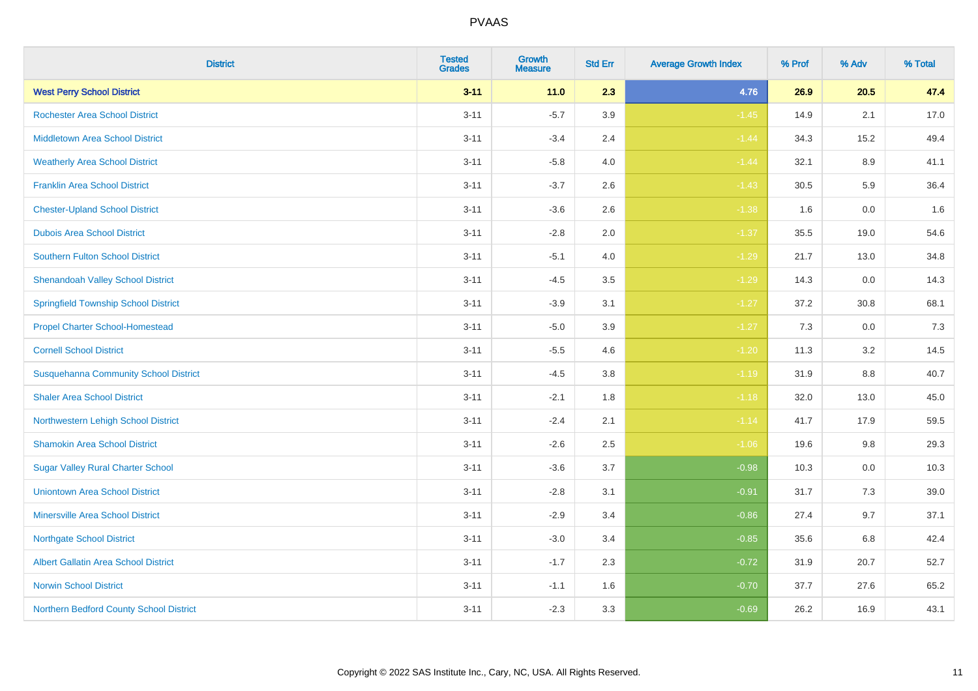| <b>District</b>                              | <b>Tested</b><br><b>Grades</b> | <b>Growth</b><br><b>Measure</b> | <b>Std Err</b> | <b>Average Growth Index</b> | % Prof | % Adv   | % Total |
|----------------------------------------------|--------------------------------|---------------------------------|----------------|-----------------------------|--------|---------|---------|
| <b>West Perry School District</b>            | $3 - 11$                       | 11.0                            | 2.3            | 4.76                        | 26.9   | 20.5    | 47.4    |
| <b>Rochester Area School District</b>        | $3 - 11$                       | $-5.7$                          | 3.9            | $-1.45$                     | 14.9   | 2.1     | 17.0    |
| <b>Middletown Area School District</b>       | $3 - 11$                       | $-3.4$                          | 2.4            | $-1.44$                     | 34.3   | 15.2    | 49.4    |
| <b>Weatherly Area School District</b>        | $3 - 11$                       | $-5.8$                          | 4.0            | $-1.44$                     | 32.1   | $8.9\,$ | 41.1    |
| <b>Franklin Area School District</b>         | $3 - 11$                       | $-3.7$                          | 2.6            | $-1.43$                     | 30.5   | 5.9     | 36.4    |
| <b>Chester-Upland School District</b>        | $3 - 11$                       | $-3.6$                          | 2.6            | $-1.38$                     | 1.6    | 0.0     | 1.6     |
| <b>Dubois Area School District</b>           | $3 - 11$                       | $-2.8$                          | 2.0            | $-1.37$                     | 35.5   | 19.0    | 54.6    |
| <b>Southern Fulton School District</b>       | $3 - 11$                       | $-5.1$                          | 4.0            | $-1.29$                     | 21.7   | 13.0    | 34.8    |
| <b>Shenandoah Valley School District</b>     | $3 - 11$                       | $-4.5$                          | 3.5            | $-1.29$                     | 14.3   | 0.0     | 14.3    |
| <b>Springfield Township School District</b>  | $3 - 11$                       | $-3.9$                          | 3.1            | $-1.27$                     | 37.2   | 30.8    | 68.1    |
| <b>Propel Charter School-Homestead</b>       | $3 - 11$                       | $-5.0$                          | 3.9            | $-1.27$                     | 7.3    | 0.0     | 7.3     |
| <b>Cornell School District</b>               | $3 - 11$                       | $-5.5$                          | 4.6            | $-1.20$                     | 11.3   | 3.2     | 14.5    |
| <b>Susquehanna Community School District</b> | $3 - 11$                       | $-4.5$                          | 3.8            | $-1.19$                     | 31.9   | $8.8\,$ | 40.7    |
| <b>Shaler Area School District</b>           | $3 - 11$                       | $-2.1$                          | 1.8            | $-1.18$                     | 32.0   | 13.0    | 45.0    |
| Northwestern Lehigh School District          | $3 - 11$                       | $-2.4$                          | 2.1            | $-1.14$                     | 41.7   | 17.9    | 59.5    |
| <b>Shamokin Area School District</b>         | $3 - 11$                       | $-2.6$                          | 2.5            | $-1.06$                     | 19.6   | 9.8     | 29.3    |
| <b>Sugar Valley Rural Charter School</b>     | $3 - 11$                       | $-3.6$                          | 3.7            | $-0.98$                     | 10.3   | 0.0     | 10.3    |
| <b>Uniontown Area School District</b>        | $3 - 11$                       | $-2.8$                          | 3.1            | $-0.91$                     | 31.7   | 7.3     | 39.0    |
| <b>Minersville Area School District</b>      | $3 - 11$                       | $-2.9$                          | 3.4            | $-0.86$                     | 27.4   | 9.7     | 37.1    |
| <b>Northgate School District</b>             | $3 - 11$                       | $-3.0$                          | 3.4            | $-0.85$                     | 35.6   | 6.8     | 42.4    |
| Albert Gallatin Area School District         | $3 - 11$                       | $-1.7$                          | 2.3            | $-0.72$                     | 31.9   | 20.7    | 52.7    |
| <b>Norwin School District</b>                | $3 - 11$                       | $-1.1$                          | 1.6            | $-0.70$                     | 37.7   | 27.6    | 65.2    |
| Northern Bedford County School District      | $3 - 11$                       | $-2.3$                          | 3.3            | $-0.69$                     | 26.2   | 16.9    | 43.1    |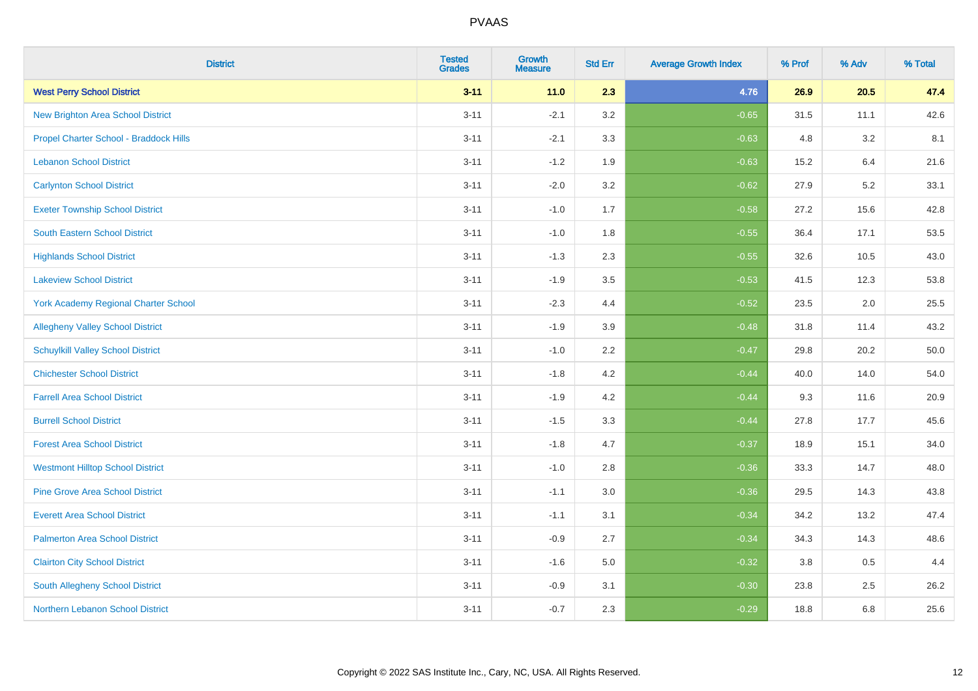| <b>District</b>                             | <b>Tested</b><br><b>Grades</b> | <b>Growth</b><br><b>Measure</b> | <b>Std Err</b> | <b>Average Growth Index</b> | % Prof | % Adv | % Total |
|---------------------------------------------|--------------------------------|---------------------------------|----------------|-----------------------------|--------|-------|---------|
| <b>West Perry School District</b>           | $3 - 11$                       | 11.0                            | 2.3            | 4.76                        | 26.9   | 20.5  | 47.4    |
| <b>New Brighton Area School District</b>    | $3 - 11$                       | $-2.1$                          | 3.2            | $-0.65$                     | 31.5   | 11.1  | 42.6    |
| Propel Charter School - Braddock Hills      | $3 - 11$                       | $-2.1$                          | 3.3            | $-0.63$                     | 4.8    | 3.2   | 8.1     |
| <b>Lebanon School District</b>              | $3 - 11$                       | $-1.2$                          | 1.9            | $-0.63$                     | 15.2   | 6.4   | 21.6    |
| <b>Carlynton School District</b>            | $3 - 11$                       | $-2.0$                          | 3.2            | $-0.62$                     | 27.9   | 5.2   | 33.1    |
| <b>Exeter Township School District</b>      | $3 - 11$                       | $-1.0$                          | 1.7            | $-0.58$                     | 27.2   | 15.6  | 42.8    |
| <b>South Eastern School District</b>        | $3 - 11$                       | $-1.0$                          | 1.8            | $-0.55$                     | 36.4   | 17.1  | 53.5    |
| <b>Highlands School District</b>            | $3 - 11$                       | $-1.3$                          | 2.3            | $-0.55$                     | 32.6   | 10.5  | 43.0    |
| <b>Lakeview School District</b>             | $3 - 11$                       | $-1.9$                          | 3.5            | $-0.53$                     | 41.5   | 12.3  | 53.8    |
| <b>York Academy Regional Charter School</b> | $3 - 11$                       | $-2.3$                          | 4.4            | $-0.52$                     | 23.5   | 2.0   | 25.5    |
| <b>Allegheny Valley School District</b>     | $3 - 11$                       | $-1.9$                          | 3.9            | $-0.48$                     | 31.8   | 11.4  | 43.2    |
| <b>Schuylkill Valley School District</b>    | $3 - 11$                       | $-1.0$                          | 2.2            | $-0.47$                     | 29.8   | 20.2  | 50.0    |
| <b>Chichester School District</b>           | $3 - 11$                       | $-1.8$                          | $4.2\,$        | $-0.44$                     | 40.0   | 14.0  | 54.0    |
| <b>Farrell Area School District</b>         | $3 - 11$                       | $-1.9$                          | 4.2            | $-0.44$                     | 9.3    | 11.6  | 20.9    |
| <b>Burrell School District</b>              | $3 - 11$                       | $-1.5$                          | 3.3            | $-0.44$                     | 27.8   | 17.7  | 45.6    |
| <b>Forest Area School District</b>          | $3 - 11$                       | $-1.8$                          | 4.7            | $-0.37$                     | 18.9   | 15.1  | 34.0    |
| <b>Westmont Hilltop School District</b>     | $3 - 11$                       | $-1.0$                          | 2.8            | $-0.36$                     | 33.3   | 14.7  | 48.0    |
| <b>Pine Grove Area School District</b>      | $3 - 11$                       | $-1.1$                          | 3.0            | $-0.36$                     | 29.5   | 14.3  | 43.8    |
| <b>Everett Area School District</b>         | $3 - 11$                       | $-1.1$                          | 3.1            | $-0.34$                     | 34.2   | 13.2  | 47.4    |
| <b>Palmerton Area School District</b>       | $3 - 11$                       | $-0.9$                          | 2.7            | $-0.34$                     | 34.3   | 14.3  | 48.6    |
| <b>Clairton City School District</b>        | $3 - 11$                       | $-1.6$                          | 5.0            | $-0.32$                     | 3.8    | 0.5   | 4.4     |
| South Allegheny School District             | $3 - 11$                       | $-0.9$                          | 3.1            | $-0.30$                     | 23.8   | 2.5   | 26.2    |
| Northern Lebanon School District            | $3 - 11$                       | $-0.7$                          | 2.3            | $-0.29$                     | 18.8   | 6.8   | 25.6    |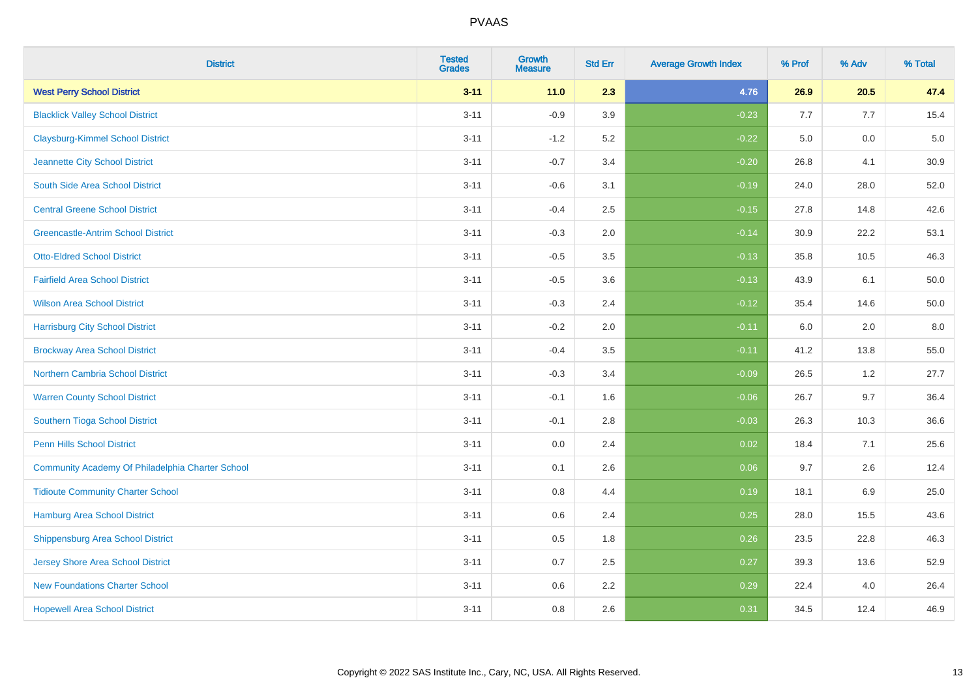| <b>District</b>                                  | <b>Tested</b><br><b>Grades</b> | <b>Growth</b><br><b>Measure</b> | <b>Std Err</b> | <b>Average Growth Index</b> | % Prof | % Adv | % Total |
|--------------------------------------------------|--------------------------------|---------------------------------|----------------|-----------------------------|--------|-------|---------|
| <b>West Perry School District</b>                | $3 - 11$                       | $11.0$                          | 2.3            | 4.76                        | 26.9   | 20.5  | 47.4    |
| <b>Blacklick Valley School District</b>          | $3 - 11$                       | $-0.9$                          | 3.9            | $-0.23$                     | 7.7    | 7.7   | 15.4    |
| <b>Claysburg-Kimmel School District</b>          | $3 - 11$                       | $-1.2$                          | 5.2            | $-0.22$                     | 5.0    | 0.0   | $5.0$   |
| Jeannette City School District                   | $3 - 11$                       | $-0.7$                          | 3.4            | $-0.20$                     | 26.8   | 4.1   | 30.9    |
| South Side Area School District                  | $3 - 11$                       | $-0.6$                          | 3.1            | $-0.19$                     | 24.0   | 28.0  | 52.0    |
| <b>Central Greene School District</b>            | $3 - 11$                       | $-0.4$                          | 2.5            | $-0.15$                     | 27.8   | 14.8  | 42.6    |
| <b>Greencastle-Antrim School District</b>        | $3 - 11$                       | $-0.3$                          | 2.0            | $-0.14$                     | 30.9   | 22.2  | 53.1    |
| <b>Otto-Eldred School District</b>               | $3 - 11$                       | $-0.5$                          | 3.5            | $-0.13$                     | 35.8   | 10.5  | 46.3    |
| <b>Fairfield Area School District</b>            | $3 - 11$                       | $-0.5$                          | 3.6            | $-0.13$                     | 43.9   | 6.1   | 50.0    |
| <b>Wilson Area School District</b>               | $3 - 11$                       | $-0.3$                          | 2.4            | $-0.12$                     | 35.4   | 14.6  | 50.0    |
| <b>Harrisburg City School District</b>           | $3 - 11$                       | $-0.2$                          | 2.0            | $-0.11$                     | 6.0    | 2.0   | 8.0     |
| <b>Brockway Area School District</b>             | $3 - 11$                       | $-0.4$                          | 3.5            | $-0.11$                     | 41.2   | 13.8  | 55.0    |
| <b>Northern Cambria School District</b>          | $3 - 11$                       | $-0.3$                          | 3.4            | $-0.09$                     | 26.5   | 1.2   | 27.7    |
| <b>Warren County School District</b>             | $3 - 11$                       | $-0.1$                          | 1.6            | $-0.06$                     | 26.7   | 9.7   | 36.4    |
| Southern Tioga School District                   | $3 - 11$                       | $-0.1$                          | 2.8            | $-0.03$                     | 26.3   | 10.3  | 36.6    |
| <b>Penn Hills School District</b>                | $3 - 11$                       | 0.0                             | 2.4            | 0.02                        | 18.4   | 7.1   | 25.6    |
| Community Academy Of Philadelphia Charter School | $3 - 11$                       | 0.1                             | 2.6            | 0.06                        | 9.7    | 2.6   | 12.4    |
| <b>Tidioute Community Charter School</b>         | $3 - 11$                       | 0.8                             | 4.4            | 0.19                        | 18.1   | 6.9   | 25.0    |
| <b>Hamburg Area School District</b>              | $3 - 11$                       | 0.6                             | 2.4            | 0.25                        | 28.0   | 15.5  | 43.6    |
| <b>Shippensburg Area School District</b>         | $3 - 11$                       | $0.5\,$                         | 1.8            | 0.26                        | 23.5   | 22.8  | 46.3    |
| <b>Jersey Shore Area School District</b>         | $3 - 11$                       | 0.7                             | 2.5            | 0.27                        | 39.3   | 13.6  | 52.9    |
| <b>New Foundations Charter School</b>            | $3 - 11$                       | 0.6                             | 2.2            | 0.29                        | 22.4   | 4.0   | 26.4    |
| <b>Hopewell Area School District</b>             | $3 - 11$                       | 0.8                             | 2.6            | 0.31                        | 34.5   | 12.4  | 46.9    |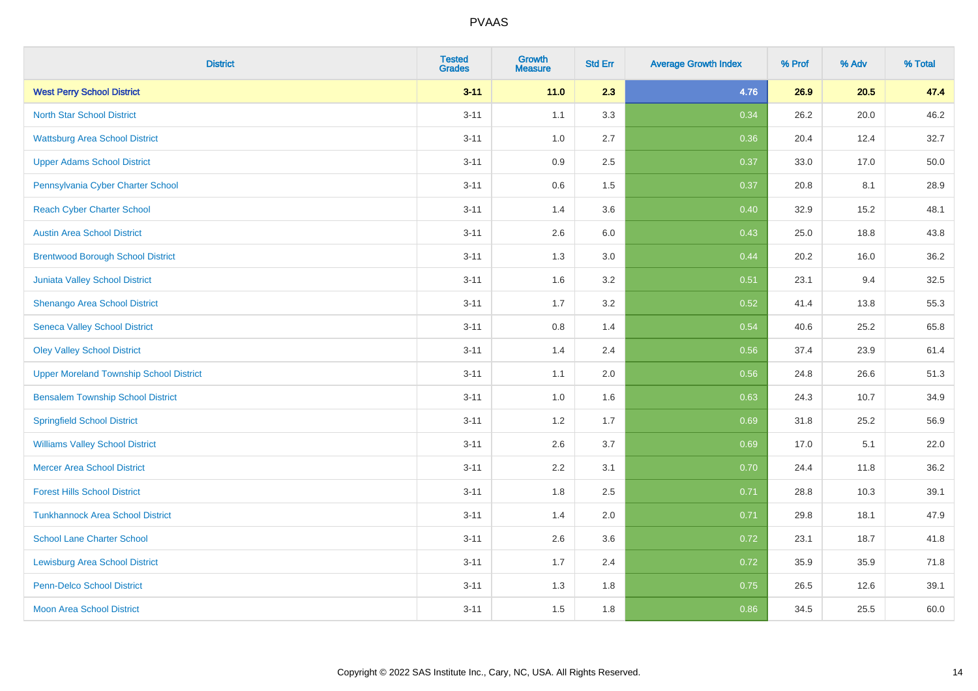| <b>District</b>                                | <b>Tested</b><br><b>Grades</b> | <b>Growth</b><br><b>Measure</b> | <b>Std Err</b> | <b>Average Growth Index</b> | % Prof | % Adv | % Total |
|------------------------------------------------|--------------------------------|---------------------------------|----------------|-----------------------------|--------|-------|---------|
| <b>West Perry School District</b>              | $3 - 11$                       | 11.0                            | 2.3            | 4.76                        | 26.9   | 20.5  | 47.4    |
| <b>North Star School District</b>              | $3 - 11$                       | 1.1                             | 3.3            | 0.34                        | 26.2   | 20.0  | 46.2    |
| <b>Wattsburg Area School District</b>          | $3 - 11$                       | 1.0                             | 2.7            | 0.36                        | 20.4   | 12.4  | 32.7    |
| <b>Upper Adams School District</b>             | $3 - 11$                       | 0.9                             | 2.5            | 0.37                        | 33.0   | 17.0  | 50.0    |
| Pennsylvania Cyber Charter School              | $3 - 11$                       | 0.6                             | 1.5            | 0.37                        | 20.8   | 8.1   | 28.9    |
| <b>Reach Cyber Charter School</b>              | $3 - 11$                       | 1.4                             | 3.6            | 0.40                        | 32.9   | 15.2  | 48.1    |
| <b>Austin Area School District</b>             | $3 - 11$                       | 2.6                             | 6.0            | 0.43                        | 25.0   | 18.8  | 43.8    |
| <b>Brentwood Borough School District</b>       | $3 - 11$                       | 1.3                             | 3.0            | 0.44                        | 20.2   | 16.0  | 36.2    |
| Juniata Valley School District                 | $3 - 11$                       | 1.6                             | 3.2            | 0.51                        | 23.1   | 9.4   | 32.5    |
| Shenango Area School District                  | $3 - 11$                       | 1.7                             | 3.2            | 0.52                        | 41.4   | 13.8  | 55.3    |
| <b>Seneca Valley School District</b>           | $3 - 11$                       | 0.8                             | 1.4            | 0.54                        | 40.6   | 25.2  | 65.8    |
| <b>Oley Valley School District</b>             | $3 - 11$                       | 1.4                             | 2.4            | 0.56                        | 37.4   | 23.9  | 61.4    |
| <b>Upper Moreland Township School District</b> | $3 - 11$                       | 1.1                             | 2.0            | 0.56                        | 24.8   | 26.6  | 51.3    |
| <b>Bensalem Township School District</b>       | $3 - 11$                       | 1.0                             | 1.6            | 0.63                        | 24.3   | 10.7  | 34.9    |
| <b>Springfield School District</b>             | $3 - 11$                       | 1.2                             | 1.7            | 0.69                        | 31.8   | 25.2  | 56.9    |
| <b>Williams Valley School District</b>         | $3 - 11$                       | 2.6                             | 3.7            | 0.69                        | 17.0   | 5.1   | 22.0    |
| <b>Mercer Area School District</b>             | $3 - 11$                       | $2.2\,$                         | 3.1            | 0.70                        | 24.4   | 11.8  | 36.2    |
| <b>Forest Hills School District</b>            | $3 - 11$                       | 1.8                             | 2.5            | 0.71                        | 28.8   | 10.3  | 39.1    |
| <b>Tunkhannock Area School District</b>        | $3 - 11$                       | 1.4                             | 2.0            | 0.71                        | 29.8   | 18.1  | 47.9    |
| <b>School Lane Charter School</b>              | $3 - 11$                       | 2.6                             | 3.6            | 0.72                        | 23.1   | 18.7  | 41.8    |
| <b>Lewisburg Area School District</b>          | $3 - 11$                       | 1.7                             | 2.4            | 0.72                        | 35.9   | 35.9  | 71.8    |
| <b>Penn-Delco School District</b>              | $3 - 11$                       | 1.3                             | 1.8            | 0.75                        | 26.5   | 12.6  | 39.1    |
| <b>Moon Area School District</b>               | $3 - 11$                       | 1.5                             | 1.8            | 0.86                        | 34.5   | 25.5  | 60.0    |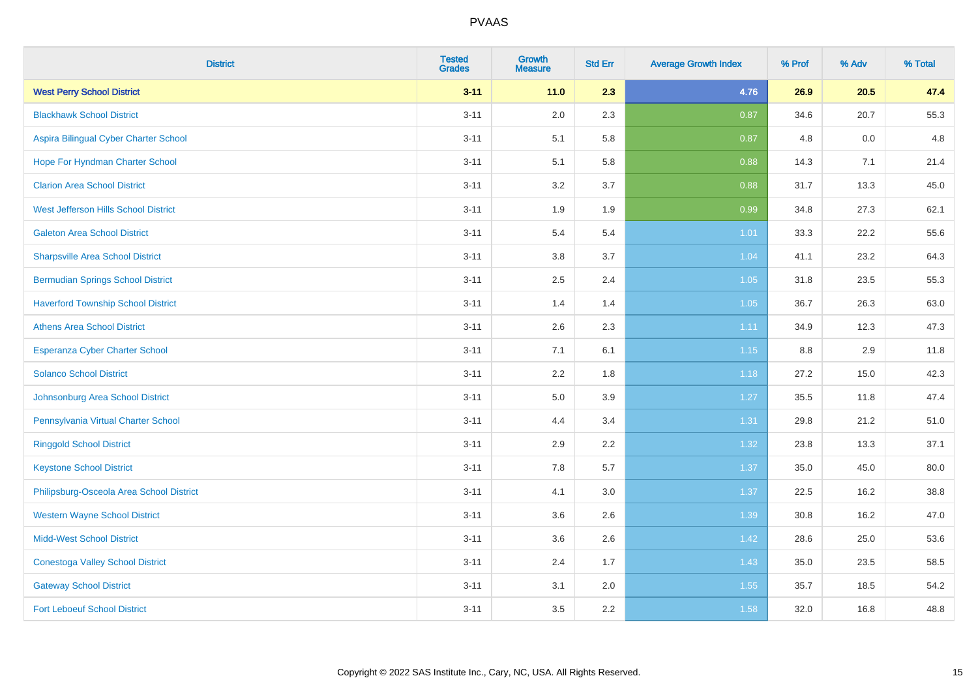| <b>District</b>                           | <b>Tested</b><br><b>Grades</b> | <b>Growth</b><br><b>Measure</b> | <b>Std Err</b> | <b>Average Growth Index</b> | % Prof | % Adv | % Total |
|-------------------------------------------|--------------------------------|---------------------------------|----------------|-----------------------------|--------|-------|---------|
| <b>West Perry School District</b>         | $3 - 11$                       | 11.0                            | 2.3            | 4.76                        | 26.9   | 20.5  | 47.4    |
| <b>Blackhawk School District</b>          | $3 - 11$                       | 2.0                             | 2.3            | 0.87                        | 34.6   | 20.7  | 55.3    |
| Aspira Bilingual Cyber Charter School     | $3 - 11$                       | 5.1                             | 5.8            | 0.87                        | 4.8    | 0.0   | 4.8     |
| Hope For Hyndman Charter School           | $3 - 11$                       | 5.1                             | 5.8            | 0.88                        | 14.3   | 7.1   | 21.4    |
| <b>Clarion Area School District</b>       | $3 - 11$                       | 3.2                             | 3.7            | 0.88                        | 31.7   | 13.3  | 45.0    |
| West Jefferson Hills School District      | $3 - 11$                       | 1.9                             | 1.9            | 0.99                        | 34.8   | 27.3  | 62.1    |
| <b>Galeton Area School District</b>       | $3 - 11$                       | 5.4                             | 5.4            | $1.01$                      | 33.3   | 22.2  | 55.6    |
| <b>Sharpsville Area School District</b>   | $3 - 11$                       | $3.8\,$                         | 3.7            | 1.04                        | 41.1   | 23.2  | 64.3    |
| <b>Bermudian Springs School District</b>  | $3 - 11$                       | 2.5                             | 2.4            | $1.05$                      | 31.8   | 23.5  | 55.3    |
| <b>Haverford Township School District</b> | $3 - 11$                       | 1.4                             | 1.4            | 1.05                        | 36.7   | 26.3  | 63.0    |
| <b>Athens Area School District</b>        | $3 - 11$                       | 2.6                             | 2.3            | 1.11                        | 34.9   | 12.3  | 47.3    |
| <b>Esperanza Cyber Charter School</b>     | $3 - 11$                       | 7.1                             | 6.1            | $1.15$                      | 8.8    | 2.9   | 11.8    |
| <b>Solanco School District</b>            | $3 - 11$                       | 2.2                             | 1.8            | 1.18                        | 27.2   | 15.0  | 42.3    |
| Johnsonburg Area School District          | $3 - 11$                       | 5.0                             | 3.9            | 1.27                        | 35.5   | 11.8  | 47.4    |
| Pennsylvania Virtual Charter School       | $3 - 11$                       | 4.4                             | 3.4            | 1.31                        | 29.8   | 21.2  | 51.0    |
| <b>Ringgold School District</b>           | $3 - 11$                       | 2.9                             | 2.2            | 1.32                        | 23.8   | 13.3  | 37.1    |
| <b>Keystone School District</b>           | $3 - 11$                       | 7.8                             | 5.7            | 1.37                        | 35.0   | 45.0  | 80.0    |
| Philipsburg-Osceola Area School District  | $3 - 11$                       | 4.1                             | 3.0            | 1.37                        | 22.5   | 16.2  | 38.8    |
| <b>Western Wayne School District</b>      | $3 - 11$                       | 3.6                             | 2.6            | 1.39                        | 30.8   | 16.2  | 47.0    |
| <b>Midd-West School District</b>          | $3 - 11$                       | 3.6                             | 2.6            | 1.42                        | 28.6   | 25.0  | 53.6    |
| <b>Conestoga Valley School District</b>   | $3 - 11$                       | 2.4                             | 1.7            | 1.43                        | 35.0   | 23.5  | 58.5    |
| <b>Gateway School District</b>            | $3 - 11$                       | 3.1                             | 2.0            | 1.55                        | 35.7   | 18.5  | 54.2    |
| <b>Fort Leboeuf School District</b>       | $3 - 11$                       | 3.5                             | 2.2            | 1.58                        | 32.0   | 16.8  | 48.8    |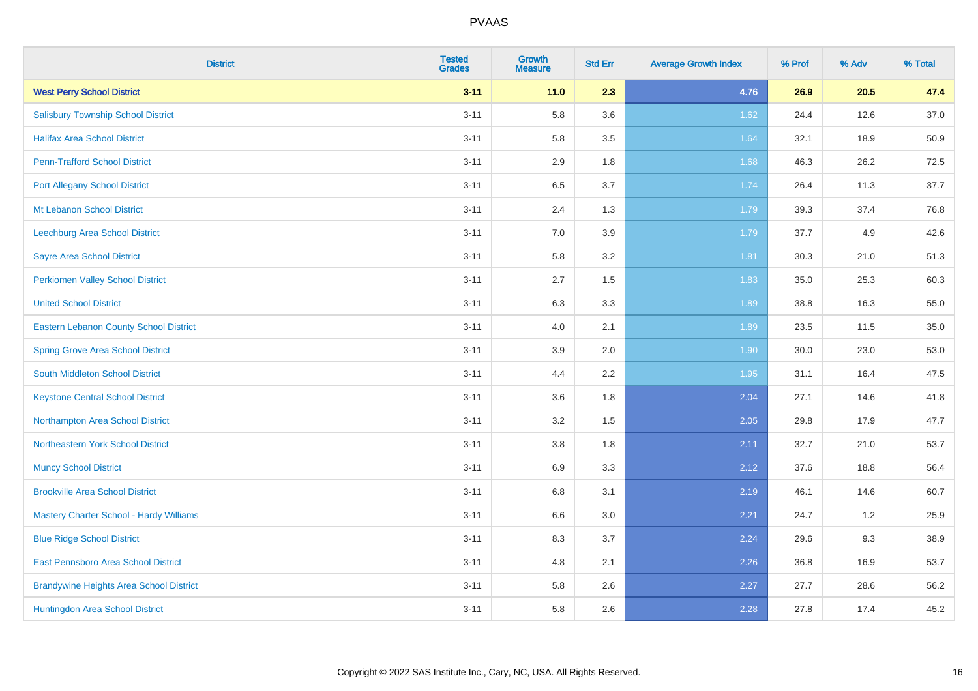| <b>District</b>                                | <b>Tested</b><br><b>Grades</b> | <b>Growth</b><br><b>Measure</b> | <b>Std Err</b> | <b>Average Growth Index</b> | % Prof | % Adv | % Total |
|------------------------------------------------|--------------------------------|---------------------------------|----------------|-----------------------------|--------|-------|---------|
| <b>West Perry School District</b>              | $3 - 11$                       | $11.0$                          | 2.3            | 4.76                        | 26.9   | 20.5  | 47.4    |
| <b>Salisbury Township School District</b>      | $3 - 11$                       | 5.8                             | 3.6            | 1.62                        | 24.4   | 12.6  | 37.0    |
| <b>Halifax Area School District</b>            | $3 - 11$                       | 5.8                             | 3.5            | 1.64                        | 32.1   | 18.9  | 50.9    |
| <b>Penn-Trafford School District</b>           | $3 - 11$                       | 2.9                             | 1.8            | 1.68                        | 46.3   | 26.2  | 72.5    |
| <b>Port Allegany School District</b>           | $3 - 11$                       | 6.5                             | 3.7            | 1.74                        | 26.4   | 11.3  | 37.7    |
| Mt Lebanon School District                     | $3 - 11$                       | 2.4                             | 1.3            | 1.79                        | 39.3   | 37.4  | 76.8    |
| Leechburg Area School District                 | $3 - 11$                       | $7.0\,$                         | 3.9            | 1.79                        | 37.7   | 4.9   | 42.6    |
| <b>Sayre Area School District</b>              | $3 - 11$                       | 5.8                             | 3.2            | 1.81                        | 30.3   | 21.0  | 51.3    |
| <b>Perkiomen Valley School District</b>        | $3 - 11$                       | 2.7                             | 1.5            | 1.83                        | 35.0   | 25.3  | 60.3    |
| <b>United School District</b>                  | $3 - 11$                       | $6.3\,$                         | 3.3            | 1.89                        | 38.8   | 16.3  | 55.0    |
| <b>Eastern Lebanon County School District</b>  | $3 - 11$                       | 4.0                             | 2.1            | 1.89                        | 23.5   | 11.5  | 35.0    |
| <b>Spring Grove Area School District</b>       | $3 - 11$                       | 3.9                             | 2.0            | 1.90                        | 30.0   | 23.0  | 53.0    |
| South Middleton School District                | $3 - 11$                       | 4.4                             | 2.2            | 1.95                        | 31.1   | 16.4  | 47.5    |
| <b>Keystone Central School District</b>        | $3 - 11$                       | 3.6                             | 1.8            | 2.04                        | 27.1   | 14.6  | 41.8    |
| Northampton Area School District               | $3 - 11$                       | 3.2                             | 1.5            | 2.05                        | 29.8   | 17.9  | 47.7    |
| Northeastern York School District              | $3 - 11$                       | 3.8                             | 1.8            | 2.11                        | 32.7   | 21.0  | 53.7    |
| <b>Muncy School District</b>                   | $3 - 11$                       | 6.9                             | 3.3            | 2.12                        | 37.6   | 18.8  | 56.4    |
| <b>Brookville Area School District</b>         | $3 - 11$                       | $6.8\,$                         | 3.1            | 2.19                        | 46.1   | 14.6  | 60.7    |
| <b>Mastery Charter School - Hardy Williams</b> | $3 - 11$                       | 6.6                             | 3.0            | 2.21                        | 24.7   | 1.2   | 25.9    |
| <b>Blue Ridge School District</b>              | $3 - 11$                       | 8.3                             | 3.7            | 2.24                        | 29.6   | 9.3   | 38.9    |
| East Pennsboro Area School District            | $3 - 11$                       | 4.8                             | 2.1            | 2.26                        | 36.8   | 16.9  | 53.7    |
| <b>Brandywine Heights Area School District</b> | $3 - 11$                       | 5.8                             | 2.6            | 2.27                        | 27.7   | 28.6  | 56.2    |
| Huntingdon Area School District                | $3 - 11$                       | 5.8                             | 2.6            | 2.28                        | 27.8   | 17.4  | 45.2    |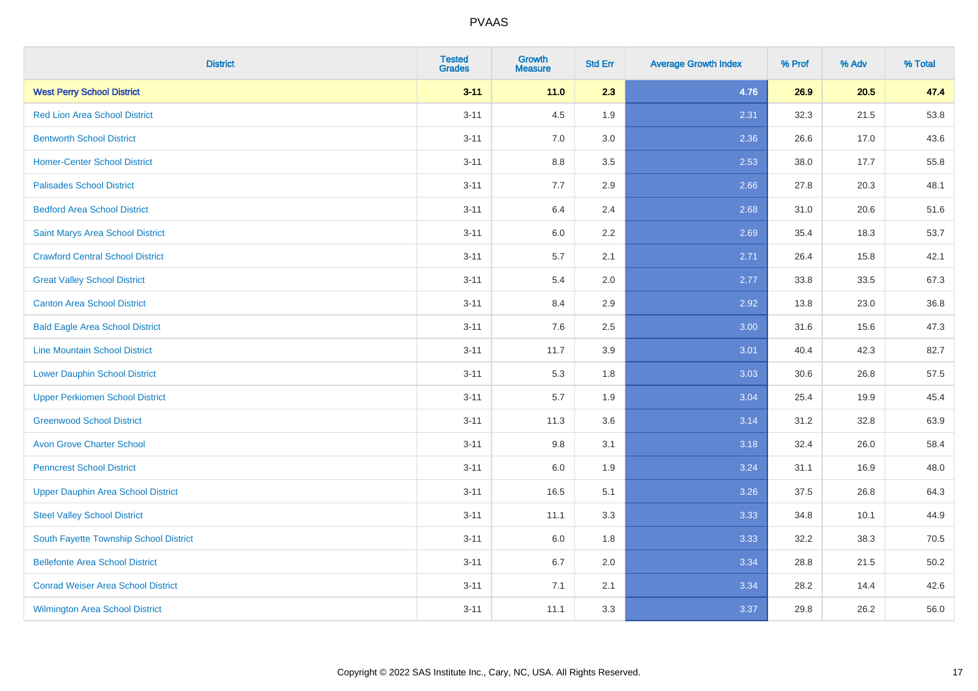| <b>District</b>                           | <b>Tested</b><br><b>Grades</b> | <b>Growth</b><br><b>Measure</b> | <b>Std Err</b> | <b>Average Growth Index</b> | % Prof | % Adv | % Total |
|-------------------------------------------|--------------------------------|---------------------------------|----------------|-----------------------------|--------|-------|---------|
| <b>West Perry School District</b>         | $3 - 11$                       | 11.0                            | 2.3            | 4.76                        | 26.9   | 20.5  | 47.4    |
| <b>Red Lion Area School District</b>      | $3 - 11$                       | 4.5                             | 1.9            | 2.31                        | 32.3   | 21.5  | 53.8    |
| <b>Bentworth School District</b>          | $3 - 11$                       | 7.0                             | 3.0            | 2.36                        | 26.6   | 17.0  | 43.6    |
| <b>Homer-Center School District</b>       | $3 - 11$                       | $8.8\,$                         | 3.5            | 2.53                        | 38.0   | 17.7  | 55.8    |
| <b>Palisades School District</b>          | $3 - 11$                       | 7.7                             | 2.9            | 2.66                        | 27.8   | 20.3  | 48.1    |
| <b>Bedford Area School District</b>       | $3 - 11$                       | 6.4                             | 2.4            | 2.68                        | 31.0   | 20.6  | 51.6    |
| Saint Marys Area School District          | $3 - 11$                       | $6.0\,$                         | 2.2            | 2.69                        | 35.4   | 18.3  | 53.7    |
| <b>Crawford Central School District</b>   | $3 - 11$                       | 5.7                             | 2.1            | 2.71                        | 26.4   | 15.8  | 42.1    |
| <b>Great Valley School District</b>       | $3 - 11$                       | 5.4                             | 2.0            | 2.77                        | 33.8   | 33.5  | 67.3    |
| <b>Canton Area School District</b>        | $3 - 11$                       | 8.4                             | 2.9            | 2.92                        | 13.8   | 23.0  | 36.8    |
| <b>Bald Eagle Area School District</b>    | $3 - 11$                       | 7.6                             | 2.5            | 3.00                        | 31.6   | 15.6  | 47.3    |
| <b>Line Mountain School District</b>      | $3 - 11$                       | 11.7                            | 3.9            | 3.01                        | 40.4   | 42.3  | 82.7    |
| <b>Lower Dauphin School District</b>      | $3 - 11$                       | 5.3                             | 1.8            | 3.03                        | 30.6   | 26.8  | 57.5    |
| <b>Upper Perkiomen School District</b>    | $3 - 11$                       | 5.7                             | 1.9            | 3.04                        | 25.4   | 19.9  | 45.4    |
| <b>Greenwood School District</b>          | $3 - 11$                       | 11.3                            | 3.6            | 3.14                        | 31.2   | 32.8  | 63.9    |
| <b>Avon Grove Charter School</b>          | $3 - 11$                       | 9.8                             | 3.1            | 3.18                        | 32.4   | 26.0  | 58.4    |
| <b>Penncrest School District</b>          | $3 - 11$                       | 6.0                             | 1.9            | 3.24                        | 31.1   | 16.9  | 48.0    |
| <b>Upper Dauphin Area School District</b> | $3 - 11$                       | 16.5                            | 5.1            | 3.26                        | 37.5   | 26.8  | 64.3    |
| <b>Steel Valley School District</b>       | $3 - 11$                       | 11.1                            | 3.3            | 3.33                        | 34.8   | 10.1  | 44.9    |
| South Fayette Township School District    | $3 - 11$                       | 6.0                             | 1.8            | 3.33                        | 32.2   | 38.3  | 70.5    |
| <b>Bellefonte Area School District</b>    | $3 - 11$                       | 6.7                             | 2.0            | 3.34                        | 28.8   | 21.5  | 50.2    |
| <b>Conrad Weiser Area School District</b> | $3 - 11$                       | 7.1                             | 2.1            | 3.34                        | 28.2   | 14.4  | 42.6    |
| <b>Wilmington Area School District</b>    | $3 - 11$                       | 11.1                            | 3.3            | 3.37                        | 29.8   | 26.2  | 56.0    |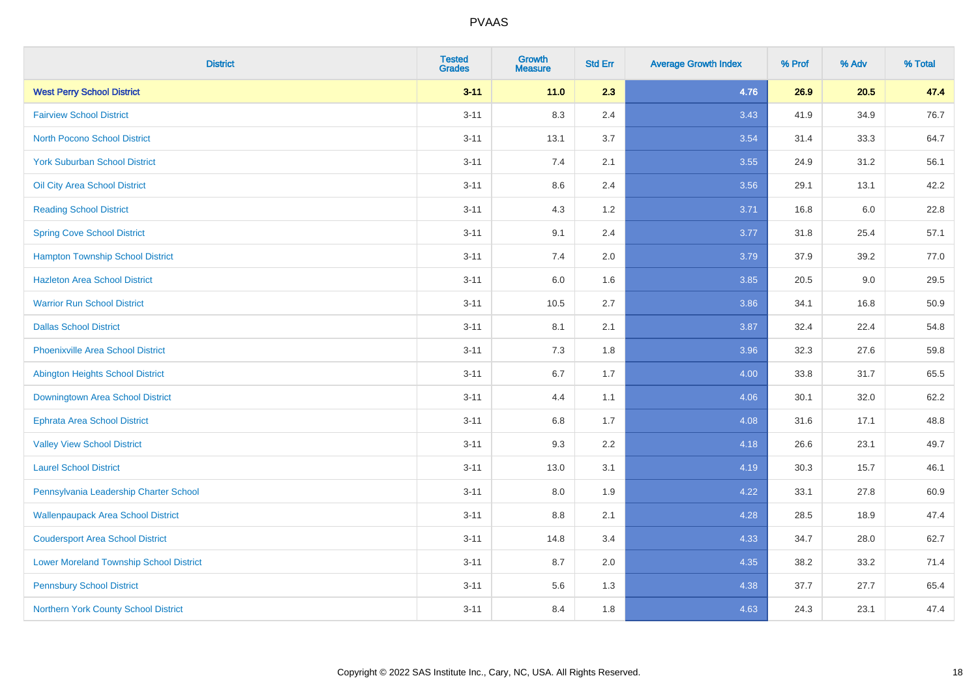| <b>District</b>                                | <b>Tested</b><br><b>Grades</b> | <b>Growth</b><br><b>Measure</b> | <b>Std Err</b> | <b>Average Growth Index</b> | % Prof | % Adv | % Total |
|------------------------------------------------|--------------------------------|---------------------------------|----------------|-----------------------------|--------|-------|---------|
| <b>West Perry School District</b>              | $3 - 11$                       | 11.0                            | 2.3            | 4.76                        | 26.9   | 20.5  | 47.4    |
| <b>Fairview School District</b>                | $3 - 11$                       | 8.3                             | 2.4            | 3.43                        | 41.9   | 34.9  | 76.7    |
| <b>North Pocono School District</b>            | $3 - 11$                       | 13.1                            | 3.7            | 3.54                        | 31.4   | 33.3  | 64.7    |
| <b>York Suburban School District</b>           | $3 - 11$                       | 7.4                             | 2.1            | 3.55                        | 24.9   | 31.2  | 56.1    |
| Oil City Area School District                  | $3 - 11$                       | 8.6                             | 2.4            | 3.56                        | 29.1   | 13.1  | 42.2    |
| <b>Reading School District</b>                 | $3 - 11$                       | 4.3                             | 1.2            | 3.71                        | 16.8   | 6.0   | 22.8    |
| <b>Spring Cove School District</b>             | $3 - 11$                       | 9.1                             | 2.4            | 3.77                        | 31.8   | 25.4  | 57.1    |
| <b>Hampton Township School District</b>        | $3 - 11$                       | 7.4                             | 2.0            | 3.79                        | 37.9   | 39.2  | 77.0    |
| <b>Hazleton Area School District</b>           | $3 - 11$                       | 6.0                             | 1.6            | 3.85                        | 20.5   | 9.0   | 29.5    |
| <b>Warrior Run School District</b>             | $3 - 11$                       | 10.5                            | 2.7            | 3.86                        | 34.1   | 16.8  | 50.9    |
| <b>Dallas School District</b>                  | $3 - 11$                       | 8.1                             | 2.1            | 3.87                        | 32.4   | 22.4  | 54.8    |
| <b>Phoenixville Area School District</b>       | $3 - 11$                       | 7.3                             | 1.8            | 3.96                        | 32.3   | 27.6  | 59.8    |
| Abington Heights School District               | $3 - 11$                       | $6.7\,$                         | 1.7            | 4.00                        | 33.8   | 31.7  | 65.5    |
| Downingtown Area School District               | $3 - 11$                       | 4.4                             | 1.1            | 4.06                        | 30.1   | 32.0  | 62.2    |
| <b>Ephrata Area School District</b>            | $3 - 11$                       | 6.8                             | 1.7            | 4.08                        | 31.6   | 17.1  | 48.8    |
| <b>Valley View School District</b>             | $3 - 11$                       | 9.3                             | 2.2            | 4.18                        | 26.6   | 23.1  | 49.7    |
| <b>Laurel School District</b>                  | $3 - 11$                       | 13.0                            | 3.1            | 4.19                        | 30.3   | 15.7  | 46.1    |
| Pennsylvania Leadership Charter School         | $3 - 11$                       | 8.0                             | 1.9            | 4.22                        | 33.1   | 27.8  | 60.9    |
| <b>Wallenpaupack Area School District</b>      | $3 - 11$                       | $8.8\,$                         | 2.1            | 4.28                        | 28.5   | 18.9  | 47.4    |
| <b>Coudersport Area School District</b>        | $3 - 11$                       | 14.8                            | 3.4            | 4.33                        | 34.7   | 28.0  | 62.7    |
| <b>Lower Moreland Township School District</b> | $3 - 11$                       | 8.7                             | 2.0            | 4.35                        | 38.2   | 33.2  | 71.4    |
| <b>Pennsbury School District</b>               | $3 - 11$                       | 5.6                             | 1.3            | 4.38                        | 37.7   | 27.7  | 65.4    |
| Northern York County School District           | $3 - 11$                       | 8.4                             | 1.8            | 4.63                        | 24.3   | 23.1  | 47.4    |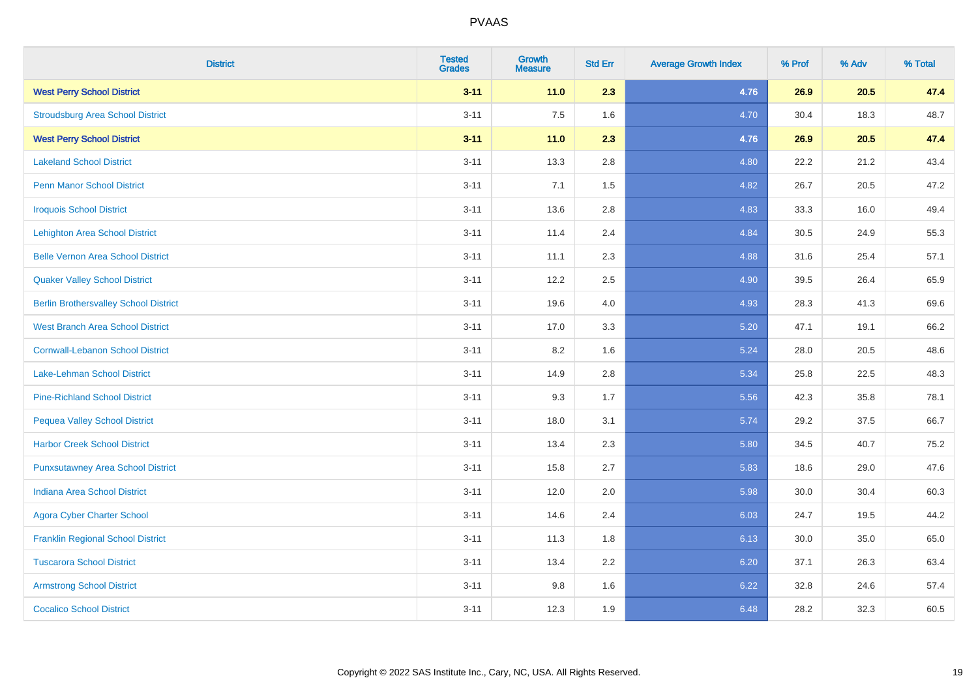| <b>District</b>                              | <b>Tested</b><br><b>Grades</b> | <b>Growth</b><br><b>Measure</b> | <b>Std Err</b> | <b>Average Growth Index</b> | % Prof | % Adv | % Total |
|----------------------------------------------|--------------------------------|---------------------------------|----------------|-----------------------------|--------|-------|---------|
| <b>West Perry School District</b>            | $3 - 11$                       | 11.0                            | 2.3            | 4.76                        | 26.9   | 20.5  | 47.4    |
| <b>Stroudsburg Area School District</b>      | $3 - 11$                       | 7.5                             | 1.6            | 4.70                        | 30.4   | 18.3  | 48.7    |
| <b>West Perry School District</b>            | $3 - 11$                       | 11.0                            | 2.3            | 4.76                        | 26.9   | 20.5  | 47.4    |
| <b>Lakeland School District</b>              | $3 - 11$                       | 13.3                            | 2.8            | 4.80                        | 22.2   | 21.2  | 43.4    |
| <b>Penn Manor School District</b>            | $3 - 11$                       | 7.1                             | 1.5            | 4.82                        | 26.7   | 20.5  | 47.2    |
| <b>Iroquois School District</b>              | $3 - 11$                       | 13.6                            | 2.8            | 4.83                        | 33.3   | 16.0  | 49.4    |
| <b>Lehighton Area School District</b>        | $3 - 11$                       | 11.4                            | 2.4            | 4.84                        | 30.5   | 24.9  | 55.3    |
| <b>Belle Vernon Area School District</b>     | $3 - 11$                       | 11.1                            | 2.3            | 4.88                        | 31.6   | 25.4  | 57.1    |
| <b>Quaker Valley School District</b>         | $3 - 11$                       | 12.2                            | 2.5            | 4.90                        | 39.5   | 26.4  | 65.9    |
| <b>Berlin Brothersvalley School District</b> | $3 - 11$                       | 19.6                            | 4.0            | 4.93                        | 28.3   | 41.3  | 69.6    |
| <b>West Branch Area School District</b>      | $3 - 11$                       | 17.0                            | 3.3            | 5.20                        | 47.1   | 19.1  | 66.2    |
| <b>Cornwall-Lebanon School District</b>      | $3 - 11$                       | 8.2                             | 1.6            | 5.24                        | 28.0   | 20.5  | 48.6    |
| Lake-Lehman School District                  | $3 - 11$                       | 14.9                            | 2.8            | 5.34                        | 25.8   | 22.5  | 48.3    |
| <b>Pine-Richland School District</b>         | $3 - 11$                       | 9.3                             | 1.7            | 5.56                        | 42.3   | 35.8  | 78.1    |
| <b>Pequea Valley School District</b>         | $3 - 11$                       | 18.0                            | 3.1            | 5.74                        | 29.2   | 37.5  | 66.7    |
| <b>Harbor Creek School District</b>          | $3 - 11$                       | 13.4                            | 2.3            | 5.80                        | 34.5   | 40.7  | 75.2    |
| <b>Punxsutawney Area School District</b>     | $3 - 11$                       | 15.8                            | 2.7            | 5.83                        | 18.6   | 29.0  | 47.6    |
| Indiana Area School District                 | $3 - 11$                       | 12.0                            | 2.0            | 5.98                        | 30.0   | 30.4  | 60.3    |
| <b>Agora Cyber Charter School</b>            | $3 - 11$                       | 14.6                            | 2.4            | 6.03                        | 24.7   | 19.5  | 44.2    |
| <b>Franklin Regional School District</b>     | $3 - 11$                       | 11.3                            | 1.8            | 6.13                        | 30.0   | 35.0  | 65.0    |
| <b>Tuscarora School District</b>             | $3 - 11$                       | 13.4                            | 2.2            | 6.20                        | 37.1   | 26.3  | 63.4    |
| <b>Armstrong School District</b>             | $3 - 11$                       | 9.8                             | 1.6            | 6.22                        | 32.8   | 24.6  | 57.4    |
| <b>Cocalico School District</b>              | $3 - 11$                       | 12.3                            | 1.9            | 6.48                        | 28.2   | 32.3  | 60.5    |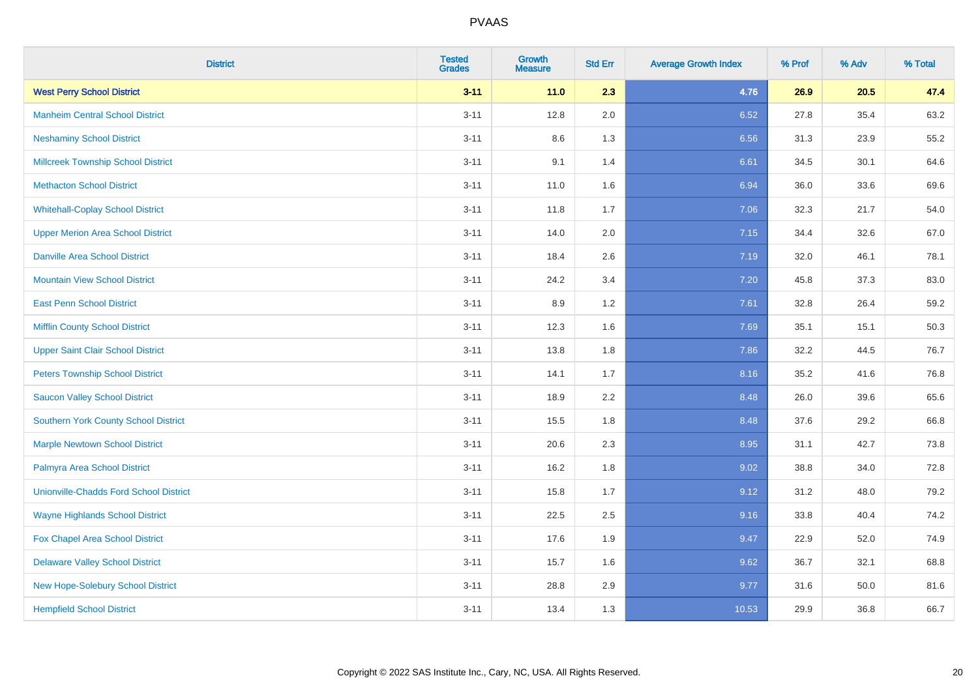| <b>District</b>                               | <b>Tested</b><br><b>Grades</b> | <b>Growth</b><br><b>Measure</b> | <b>Std Err</b> | <b>Average Growth Index</b> | % Prof | % Adv | % Total |
|-----------------------------------------------|--------------------------------|---------------------------------|----------------|-----------------------------|--------|-------|---------|
| <b>West Perry School District</b>             | $3 - 11$                       | 11.0                            | 2.3            | 4.76                        | 26.9   | 20.5  | 47.4    |
| <b>Manheim Central School District</b>        | $3 - 11$                       | 12.8                            | 2.0            | 6.52                        | 27.8   | 35.4  | 63.2    |
| <b>Neshaminy School District</b>              | $3 - 11$                       | 8.6                             | 1.3            | 6.56                        | 31.3   | 23.9  | 55.2    |
| <b>Millcreek Township School District</b>     | $3 - 11$                       | 9.1                             | 1.4            | 6.61                        | 34.5   | 30.1  | 64.6    |
| <b>Methacton School District</b>              | $3 - 11$                       | 11.0                            | 1.6            | 6.94                        | 36.0   | 33.6  | 69.6    |
| <b>Whitehall-Coplay School District</b>       | $3 - 11$                       | 11.8                            | 1.7            | 7.06                        | 32.3   | 21.7  | 54.0    |
| <b>Upper Merion Area School District</b>      | $3 - 11$                       | 14.0                            | 2.0            | 7.15                        | 34.4   | 32.6  | 67.0    |
| <b>Danville Area School District</b>          | $3 - 11$                       | 18.4                            | 2.6            | 7.19                        | 32.0   | 46.1  | 78.1    |
| <b>Mountain View School District</b>          | $3 - 11$                       | 24.2                            | 3.4            | 7.20                        | 45.8   | 37.3  | 83.0    |
| <b>East Penn School District</b>              | $3 - 11$                       | 8.9                             | 1.2            | 7.61                        | 32.8   | 26.4  | 59.2    |
| <b>Mifflin County School District</b>         | $3 - 11$                       | 12.3                            | 1.6            | 7.69                        | 35.1   | 15.1  | 50.3    |
| <b>Upper Saint Clair School District</b>      | $3 - 11$                       | 13.8                            | 1.8            | 7.86                        | 32.2   | 44.5  | 76.7    |
| <b>Peters Township School District</b>        | $3 - 11$                       | 14.1                            | 1.7            | 8.16                        | 35.2   | 41.6  | 76.8    |
| <b>Saucon Valley School District</b>          | $3 - 11$                       | 18.9                            | 2.2            | 8.48                        | 26.0   | 39.6  | 65.6    |
| Southern York County School District          | $3 - 11$                       | 15.5                            | 1.8            | 8.48                        | 37.6   | 29.2  | 66.8    |
| <b>Marple Newtown School District</b>         | $3 - 11$                       | 20.6                            | 2.3            | 8.95                        | 31.1   | 42.7  | 73.8    |
| Palmyra Area School District                  | $3 - 11$                       | 16.2                            | 1.8            | 9.02                        | 38.8   | 34.0  | 72.8    |
| <b>Unionville-Chadds Ford School District</b> | $3 - 11$                       | 15.8                            | 1.7            | 9.12                        | 31.2   | 48.0  | 79.2    |
| <b>Wayne Highlands School District</b>        | $3 - 11$                       | 22.5                            | 2.5            | 9.16                        | 33.8   | 40.4  | 74.2    |
| Fox Chapel Area School District               | $3 - 11$                       | 17.6                            | 1.9            | 9.47                        | 22.9   | 52.0  | 74.9    |
| <b>Delaware Valley School District</b>        | $3 - 11$                       | 15.7                            | 1.6            | 9.62                        | 36.7   | 32.1  | 68.8    |
| New Hope-Solebury School District             | $3 - 11$                       | 28.8                            | 2.9            | 9.77                        | 31.6   | 50.0  | 81.6    |
| <b>Hempfield School District</b>              | $3 - 11$                       | 13.4                            | 1.3            | 10.53                       | 29.9   | 36.8  | 66.7    |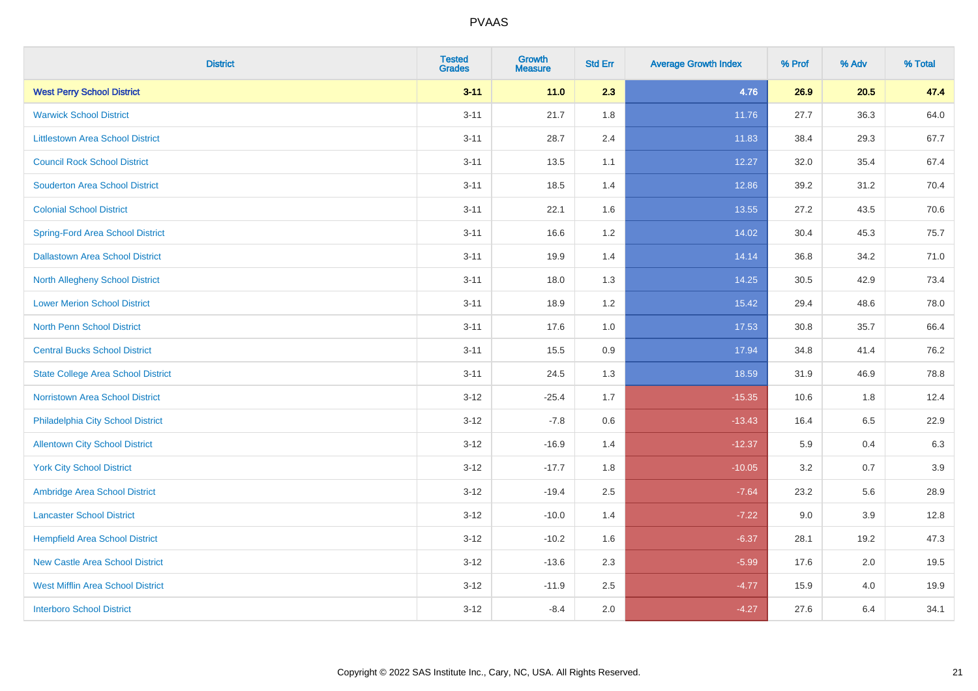| <b>District</b>                           | <b>Tested</b><br><b>Grades</b> | <b>Growth</b><br><b>Measure</b> | <b>Std Err</b> | <b>Average Growth Index</b> | % Prof | % Adv   | % Total |
|-------------------------------------------|--------------------------------|---------------------------------|----------------|-----------------------------|--------|---------|---------|
| <b>West Perry School District</b>         | $3 - 11$                       | $11.0$                          | 2.3            | 4.76                        | 26.9   | 20.5    | 47.4    |
| <b>Warwick School District</b>            | $3 - 11$                       | 21.7                            | 1.8            | 11.76                       | 27.7   | 36.3    | 64.0    |
| <b>Littlestown Area School District</b>   | $3 - 11$                       | 28.7                            | 2.4            | 11.83                       | 38.4   | 29.3    | 67.7    |
| <b>Council Rock School District</b>       | $3 - 11$                       | 13.5                            | 1.1            | 12.27                       | 32.0   | 35.4    | 67.4    |
| <b>Souderton Area School District</b>     | $3 - 11$                       | 18.5                            | 1.4            | 12.86                       | 39.2   | 31.2    | 70.4    |
| <b>Colonial School District</b>           | $3 - 11$                       | 22.1                            | 1.6            | 13.55                       | 27.2   | 43.5    | 70.6    |
| <b>Spring-Ford Area School District</b>   | $3 - 11$                       | 16.6                            | 1.2            | 14.02                       | 30.4   | 45.3    | 75.7    |
| <b>Dallastown Area School District</b>    | $3 - 11$                       | 19.9                            | 1.4            | 14.14                       | 36.8   | 34.2    | 71.0    |
| <b>North Allegheny School District</b>    | $3 - 11$                       | 18.0                            | 1.3            | 14.25                       | 30.5   | 42.9    | 73.4    |
| <b>Lower Merion School District</b>       | $3 - 11$                       | 18.9                            | 1.2            | 15.42                       | 29.4   | 48.6    | 78.0    |
| North Penn School District                | $3 - 11$                       | 17.6                            | 1.0            | 17.53                       | 30.8   | 35.7    | 66.4    |
| <b>Central Bucks School District</b>      | $3 - 11$                       | 15.5                            | 0.9            | 17.94                       | 34.8   | 41.4    | 76.2    |
| <b>State College Area School District</b> | $3 - 11$                       | 24.5                            | 1.3            | 18.59                       | 31.9   | 46.9    | 78.8    |
| Norristown Area School District           | $3 - 12$                       | $-25.4$                         | 1.7            | $-15.35$                    | 10.6   | 1.8     | 12.4    |
| Philadelphia City School District         | $3 - 12$                       | $-7.8$                          | 0.6            | $-13.43$                    | 16.4   | 6.5     | 22.9    |
| <b>Allentown City School District</b>     | $3 - 12$                       | $-16.9$                         | 1.4            | $-12.37$                    | 5.9    | 0.4     | 6.3     |
| <b>York City School District</b>          | $3 - 12$                       | $-17.7$                         | 1.8            | $-10.05$                    | 3.2    | 0.7     | 3.9     |
| Ambridge Area School District             | $3 - 12$                       | $-19.4$                         | 2.5            | $-7.64$                     | 23.2   | 5.6     | 28.9    |
| <b>Lancaster School District</b>          | $3 - 12$                       | $-10.0$                         | 1.4            | $-7.22$                     | 9.0    | 3.9     | 12.8    |
| <b>Hempfield Area School District</b>     | $3 - 12$                       | $-10.2$                         | 1.6            | $-6.37$                     | 28.1   | 19.2    | 47.3    |
| <b>New Castle Area School District</b>    | $3 - 12$                       | $-13.6$                         | 2.3            | $-5.99$                     | 17.6   | $2.0\,$ | 19.5    |
| <b>West Mifflin Area School District</b>  | $3 - 12$                       | $-11.9$                         | 2.5            | $-4.77$                     | 15.9   | 4.0     | 19.9    |
| <b>Interboro School District</b>          | $3 - 12$                       | $-8.4$                          | 2.0            | $-4.27$                     | 27.6   | 6.4     | 34.1    |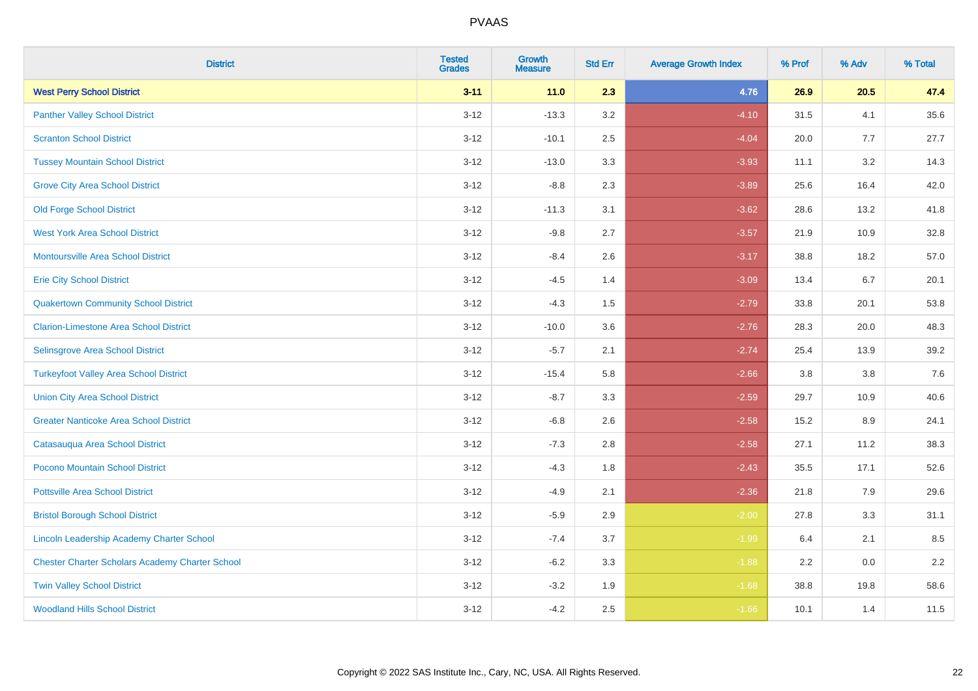| <b>District</b>                                        | <b>Tested</b><br><b>Grades</b> | <b>Growth</b><br><b>Measure</b> | <b>Std Err</b> | <b>Average Growth Index</b> | % Prof | % Adv | % Total |
|--------------------------------------------------------|--------------------------------|---------------------------------|----------------|-----------------------------|--------|-------|---------|
| <b>West Perry School District</b>                      | $3 - 11$                       | 11.0                            | 2.3            | 4.76                        | 26.9   | 20.5  | 47.4    |
| <b>Panther Valley School District</b>                  | $3 - 12$                       | $-13.3$                         | 3.2            | $-4.10$                     | 31.5   | 4.1   | 35.6    |
| <b>Scranton School District</b>                        | $3 - 12$                       | $-10.1$                         | 2.5            | $-4.04$                     | 20.0   | 7.7   | 27.7    |
| <b>Tussey Mountain School District</b>                 | $3 - 12$                       | $-13.0$                         | 3.3            | $-3.93$                     | 11.1   | 3.2   | 14.3    |
| <b>Grove City Area School District</b>                 | $3 - 12$                       | $-8.8$                          | 2.3            | $-3.89$                     | 25.6   | 16.4  | 42.0    |
| <b>Old Forge School District</b>                       | $3 - 12$                       | $-11.3$                         | 3.1            | $-3.62$                     | 28.6   | 13.2  | 41.8    |
| <b>West York Area School District</b>                  | $3 - 12$                       | $-9.8$                          | 2.7            | $-3.57$                     | 21.9   | 10.9  | 32.8    |
| <b>Montoursville Area School District</b>              | $3 - 12$                       | $-8.4$                          | 2.6            | $-3.17$                     | 38.8   | 18.2  | 57.0    |
| <b>Erie City School District</b>                       | $3 - 12$                       | $-4.5$                          | 1.4            | $-3.09$                     | 13.4   | 6.7   | 20.1    |
| <b>Quakertown Community School District</b>            | $3 - 12$                       | $-4.3$                          | 1.5            | $-2.79$                     | 33.8   | 20.1  | 53.8    |
| <b>Clarion-Limestone Area School District</b>          | $3 - 12$                       | $-10.0$                         | 3.6            | $-2.76$                     | 28.3   | 20.0  | 48.3    |
| Selinsgrove Area School District                       | $3 - 12$                       | $-5.7$                          | 2.1            | $-2.74$                     | 25.4   | 13.9  | 39.2    |
| <b>Turkeyfoot Valley Area School District</b>          | $3 - 12$                       | $-15.4$                         | 5.8            | $-2.66$                     | 3.8    | 3.8   | $7.6$   |
| <b>Union City Area School District</b>                 | $3 - 12$                       | $-8.7$                          | 3.3            | $-2.59$                     | 29.7   | 10.9  | 40.6    |
| <b>Greater Nanticoke Area School District</b>          | $3 - 12$                       | $-6.8$                          | 2.6            | $-2.58$                     | 15.2   | 8.9   | 24.1    |
| Catasauqua Area School District                        | $3 - 12$                       | $-7.3$                          | 2.8            | $-2.58$                     | 27.1   | 11.2  | 38.3    |
| Pocono Mountain School District                        | $3 - 12$                       | $-4.3$                          | 1.8            | $-2.43$                     | 35.5   | 17.1  | 52.6    |
| <b>Pottsville Area School District</b>                 | $3 - 12$                       | $-4.9$                          | 2.1            | $-2.36$                     | 21.8   | 7.9   | 29.6    |
| <b>Bristol Borough School District</b>                 | $3 - 12$                       | $-5.9$                          | 2.9            | $-2.00$                     | 27.8   | 3.3   | 31.1    |
| Lincoln Leadership Academy Charter School              | $3 - 12$                       | $-7.4$                          | 3.7            | $-1.99$                     | 6.4    | 2.1   | 8.5     |
| <b>Chester Charter Scholars Academy Charter School</b> | $3 - 12$                       | $-6.2$                          | 3.3            | $-1.88$                     | 2.2    | 0.0   | 2.2     |
| <b>Twin Valley School District</b>                     | $3 - 12$                       | $-3.2$                          | 1.9            | $-1.68$                     | 38.8   | 19.8  | 58.6    |
| <b>Woodland Hills School District</b>                  | $3 - 12$                       | $-4.2$                          | 2.5            | $-1.66$                     | 10.1   | 1.4   | 11.5    |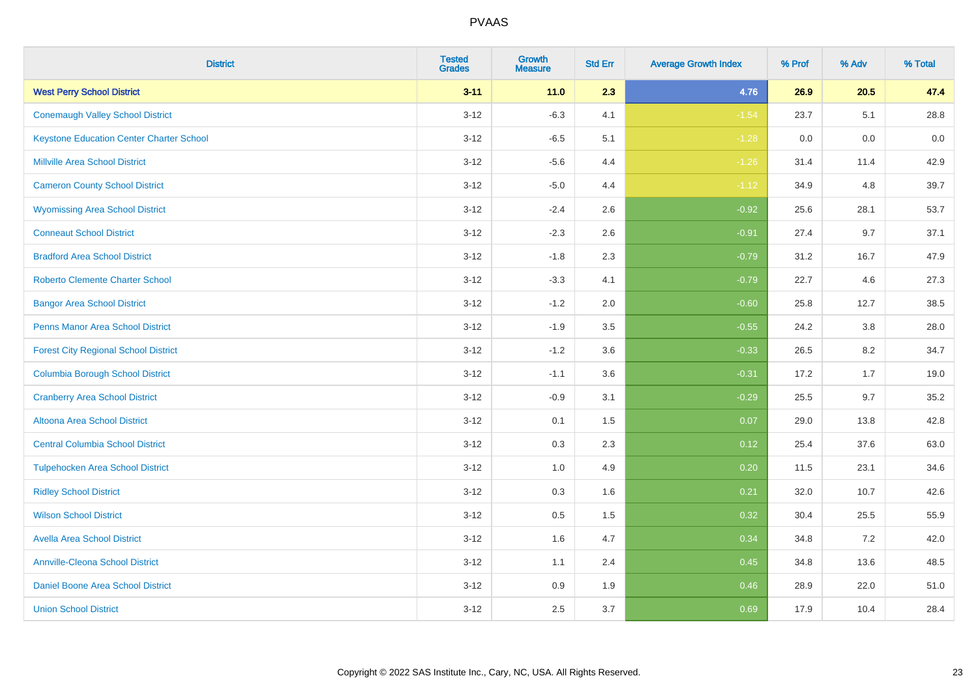| <b>District</b>                                 | <b>Tested</b><br><b>Grades</b> | <b>Growth</b><br><b>Measure</b> | <b>Std Err</b> | <b>Average Growth Index</b> | % Prof | % Adv | % Total |
|-------------------------------------------------|--------------------------------|---------------------------------|----------------|-----------------------------|--------|-------|---------|
| <b>West Perry School District</b>               | $3 - 11$                       | 11.0                            | 2.3            | 4.76                        | 26.9   | 20.5  | 47.4    |
| <b>Conemaugh Valley School District</b>         | $3 - 12$                       | $-6.3$                          | 4.1            | $-1.54$                     | 23.7   | 5.1   | 28.8    |
| <b>Keystone Education Center Charter School</b> | $3 - 12$                       | $-6.5$                          | 5.1            | $-1.28$                     | 0.0    | 0.0   | 0.0     |
| <b>Millville Area School District</b>           | $3 - 12$                       | $-5.6$                          | 4.4            | $-1.26$                     | 31.4   | 11.4  | 42.9    |
| <b>Cameron County School District</b>           | $3-12$                         | $-5.0$                          | 4.4            | $-1.12$                     | 34.9   | 4.8   | 39.7    |
| <b>Wyomissing Area School District</b>          | $3 - 12$                       | $-2.4$                          | 2.6            | $-0.92$                     | 25.6   | 28.1  | 53.7    |
| <b>Conneaut School District</b>                 | $3 - 12$                       | $-2.3$                          | 2.6            | $-0.91$                     | 27.4   | 9.7   | 37.1    |
| <b>Bradford Area School District</b>            | $3 - 12$                       | $-1.8$                          | 2.3            | $-0.79$                     | 31.2   | 16.7  | 47.9    |
| <b>Roberto Clemente Charter School</b>          | $3 - 12$                       | $-3.3$                          | 4.1            | $-0.79$                     | 22.7   | 4.6   | 27.3    |
| <b>Bangor Area School District</b>              | $3 - 12$                       | $-1.2$                          | 2.0            | $-0.60$                     | 25.8   | 12.7  | 38.5    |
| <b>Penns Manor Area School District</b>         | $3 - 12$                       | $-1.9$                          | 3.5            | $-0.55$                     | 24.2   | 3.8   | 28.0    |
| <b>Forest City Regional School District</b>     | $3 - 12$                       | $-1.2$                          | 3.6            | $-0.33$                     | 26.5   | 8.2   | 34.7    |
| <b>Columbia Borough School District</b>         | $3 - 12$                       | $-1.1$                          | 3.6            | $-0.31$                     | 17.2   | 1.7   | 19.0    |
| <b>Cranberry Area School District</b>           | $3 - 12$                       | $-0.9$                          | 3.1            | $-0.29$                     | 25.5   | 9.7   | 35.2    |
| Altoona Area School District                    | $3 - 12$                       | 0.1                             | 1.5            | 0.07                        | 29.0   | 13.8  | 42.8    |
| <b>Central Columbia School District</b>         | $3 - 12$                       | 0.3                             | 2.3            | 0.12                        | 25.4   | 37.6  | 63.0    |
| <b>Tulpehocken Area School District</b>         | $3 - 12$                       | 1.0                             | 4.9            | 0.20                        | 11.5   | 23.1  | 34.6    |
| <b>Ridley School District</b>                   | $3 - 12$                       | 0.3                             | 1.6            | 0.21                        | 32.0   | 10.7  | 42.6    |
| <b>Wilson School District</b>                   | $3 - 12$                       | $0.5\,$                         | 1.5            | 0.32                        | 30.4   | 25.5  | 55.9    |
| <b>Avella Area School District</b>              | $3-12$                         | 1.6                             | 4.7            | 0.34                        | 34.8   | 7.2   | 42.0    |
| <b>Annville-Cleona School District</b>          | $3 - 12$                       | 1.1                             | 2.4            | 0.45                        | 34.8   | 13.6  | 48.5    |
| Daniel Boone Area School District               | $3 - 12$                       | $0.9\,$                         | 1.9            | 0.46                        | 28.9   | 22.0  | 51.0    |
| <b>Union School District</b>                    | $3-12$                         | 2.5                             | 3.7            | 0.69                        | 17.9   | 10.4  | 28.4    |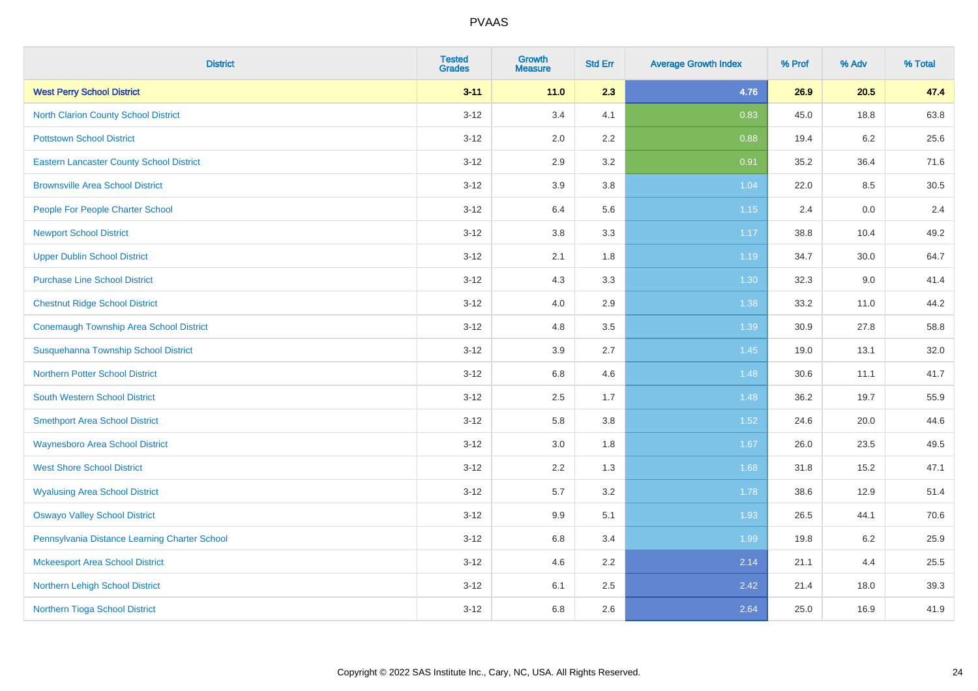| <b>District</b>                                 | <b>Tested</b><br><b>Grades</b> | <b>Growth</b><br><b>Measure</b> | <b>Std Err</b> | <b>Average Growth Index</b> | % Prof | % Adv | % Total |
|-------------------------------------------------|--------------------------------|---------------------------------|----------------|-----------------------------|--------|-------|---------|
| <b>West Perry School District</b>               | $3 - 11$                       | 11.0                            | 2.3            | 4.76                        | 26.9   | 20.5  | 47.4    |
| North Clarion County School District            | $3 - 12$                       | 3.4                             | 4.1            | 0.83                        | 45.0   | 18.8  | 63.8    |
| <b>Pottstown School District</b>                | $3 - 12$                       | 2.0                             | 2.2            | 0.88                        | 19.4   | 6.2   | 25.6    |
| <b>Eastern Lancaster County School District</b> | $3 - 12$                       | 2.9                             | 3.2            | 0.91                        | 35.2   | 36.4  | 71.6    |
| <b>Brownsville Area School District</b>         | $3 - 12$                       | 3.9                             | 3.8            | 1.04                        | 22.0   | 8.5   | 30.5    |
| People For People Charter School                | $3 - 12$                       | 6.4                             | 5.6            | $1.15$                      | 2.4    | 0.0   | 2.4     |
| <b>Newport School District</b>                  | $3 - 12$                       | 3.8                             | 3.3            | 1.17                        | 38.8   | 10.4  | 49.2    |
| <b>Upper Dublin School District</b>             | $3 - 12$                       | 2.1                             | 1.8            | 1.19                        | 34.7   | 30.0  | 64.7    |
| <b>Purchase Line School District</b>            | $3 - 12$                       | 4.3                             | 3.3            | 1.30                        | 32.3   | 9.0   | 41.4    |
| <b>Chestnut Ridge School District</b>           | $3 - 12$                       | 4.0                             | 2.9            | 1.38                        | 33.2   | 11.0  | 44.2    |
| <b>Conemaugh Township Area School District</b>  | $3 - 12$                       | 4.8                             | 3.5            | 1.39                        | 30.9   | 27.8  | 58.8    |
| Susquehanna Township School District            | $3 - 12$                       | 3.9                             | 2.7            | 1.45                        | 19.0   | 13.1  | 32.0    |
| Northern Potter School District                 | $3 - 12$                       | $6.8\,$                         | 4.6            | 1.48                        | 30.6   | 11.1  | 41.7    |
| <b>South Western School District</b>            | $3 - 12$                       | 2.5                             | 1.7            | 1.48                        | 36.2   | 19.7  | 55.9    |
| <b>Smethport Area School District</b>           | $3 - 12$                       | 5.8                             | 3.8            | 1.52                        | 24.6   | 20.0  | 44.6    |
| <b>Waynesboro Area School District</b>          | $3 - 12$                       | 3.0                             | 1.8            | 1.67                        | 26.0   | 23.5  | 49.5    |
| <b>West Shore School District</b>               | $3 - 12$                       | 2.2                             | 1.3            | 1.68                        | 31.8   | 15.2  | 47.1    |
| <b>Wyalusing Area School District</b>           | $3 - 12$                       | 5.7                             | 3.2            | 1.78                        | 38.6   | 12.9  | 51.4    |
| <b>Oswayo Valley School District</b>            | $3 - 12$                       | 9.9                             | 5.1            | 1.93                        | 26.5   | 44.1  | 70.6    |
| Pennsylvania Distance Learning Charter School   | $3 - 12$                       | 6.8                             | 3.4            | 1.99                        | 19.8   | 6.2   | 25.9    |
| <b>Mckeesport Area School District</b>          | $3 - 12$                       | 4.6                             | 2.2            | 2.14                        | 21.1   | 4.4   | 25.5    |
| Northern Lehigh School District                 | $3 - 12$                       | 6.1                             | 2.5            | 2.42                        | 21.4   | 18.0  | 39.3    |
| Northern Tioga School District                  | $3 - 12$                       | 6.8                             | 2.6            | 2.64                        | 25.0   | 16.9  | 41.9    |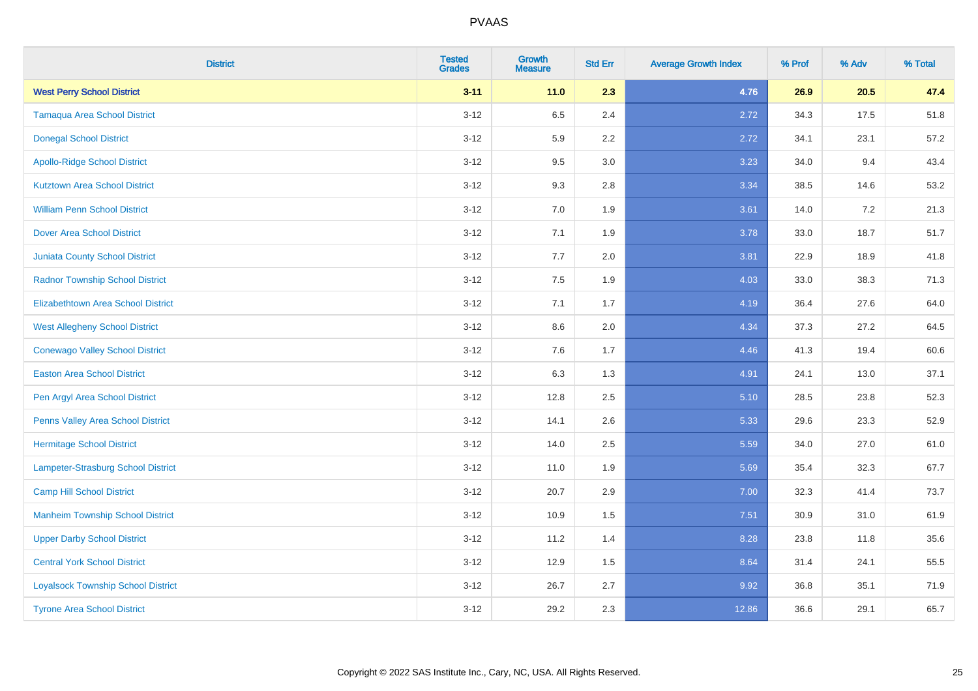| <b>District</b>                           | <b>Tested</b><br><b>Grades</b> | <b>Growth</b><br><b>Measure</b> | <b>Std Err</b> | <b>Average Growth Index</b> | % Prof | % Adv | % Total |
|-------------------------------------------|--------------------------------|---------------------------------|----------------|-----------------------------|--------|-------|---------|
| <b>West Perry School District</b>         | $3 - 11$                       | 11.0                            | 2.3            | 4.76                        | 26.9   | 20.5  | 47.4    |
| <b>Tamaqua Area School District</b>       | $3 - 12$                       | 6.5                             | 2.4            | 2.72                        | 34.3   | 17.5  | 51.8    |
| <b>Donegal School District</b>            | $3 - 12$                       | 5.9                             | 2.2            | 2.72                        | 34.1   | 23.1  | 57.2    |
| <b>Apollo-Ridge School District</b>       | $3 - 12$                       | 9.5                             | 3.0            | 3.23                        | 34.0   | 9.4   | 43.4    |
| <b>Kutztown Area School District</b>      | $3 - 12$                       | 9.3                             | 2.8            | 3.34                        | 38.5   | 14.6  | 53.2    |
| <b>William Penn School District</b>       | $3 - 12$                       | 7.0                             | 1.9            | 3.61                        | 14.0   | 7.2   | 21.3    |
| <b>Dover Area School District</b>         | $3 - 12$                       | 7.1                             | 1.9            | 3.78                        | 33.0   | 18.7  | 51.7    |
| <b>Juniata County School District</b>     | $3 - 12$                       | 7.7                             | 2.0            | 3.81                        | 22.9   | 18.9  | 41.8    |
| <b>Radnor Township School District</b>    | $3 - 12$                       | 7.5                             | 1.9            | 4.03                        | 33.0   | 38.3  | 71.3    |
| <b>Elizabethtown Area School District</b> | $3 - 12$                       | 7.1                             | 1.7            | 4.19                        | 36.4   | 27.6  | 64.0    |
| <b>West Allegheny School District</b>     | $3 - 12$                       | 8.6                             | 2.0            | 4.34                        | 37.3   | 27.2  | 64.5    |
| <b>Conewago Valley School District</b>    | $3 - 12$                       | 7.6                             | 1.7            | 4.46                        | 41.3   | 19.4  | 60.6    |
| <b>Easton Area School District</b>        | $3 - 12$                       | 6.3                             | 1.3            | 4.91                        | 24.1   | 13.0  | 37.1    |
| Pen Argyl Area School District            | $3 - 12$                       | 12.8                            | 2.5            | 5.10                        | 28.5   | 23.8  | 52.3    |
| Penns Valley Area School District         | $3 - 12$                       | 14.1                            | 2.6            | 5.33                        | 29.6   | 23.3  | 52.9    |
| <b>Hermitage School District</b>          | $3 - 12$                       | 14.0                            | 2.5            | 5.59                        | 34.0   | 27.0  | 61.0    |
| Lampeter-Strasburg School District        | $3 - 12$                       | 11.0                            | 1.9            | 5.69                        | 35.4   | 32.3  | 67.7    |
| <b>Camp Hill School District</b>          | $3 - 12$                       | 20.7                            | 2.9            | 7.00                        | 32.3   | 41.4  | 73.7    |
| <b>Manheim Township School District</b>   | $3 - 12$                       | 10.9                            | 1.5            | 7.51                        | 30.9   | 31.0  | 61.9    |
| <b>Upper Darby School District</b>        | $3 - 12$                       | 11.2                            | 1.4            | 8.28                        | 23.8   | 11.8  | 35.6    |
| <b>Central York School District</b>       | $3 - 12$                       | 12.9                            | 1.5            | 8.64                        | 31.4   | 24.1  | 55.5    |
| <b>Loyalsock Township School District</b> | $3 - 12$                       | 26.7                            | 2.7            | 9.92                        | 36.8   | 35.1  | 71.9    |
| <b>Tyrone Area School District</b>        | $3 - 12$                       | 29.2                            | 2.3            | 12.86                       | 36.6   | 29.1  | 65.7    |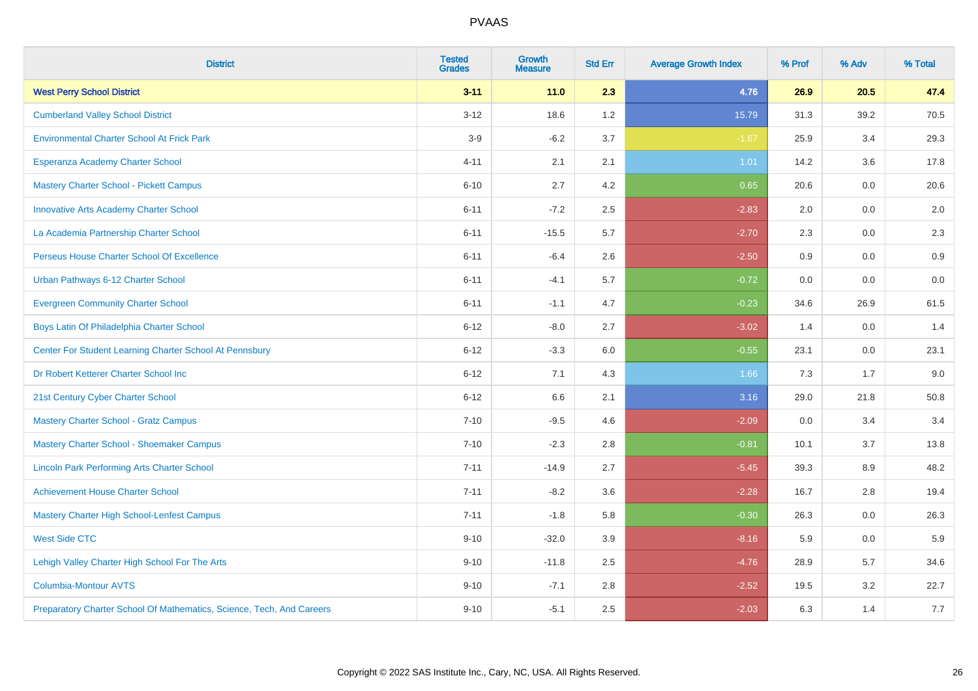| <b>District</b>                                                       | <b>Tested</b><br><b>Grades</b> | <b>Growth</b><br><b>Measure</b> | <b>Std Err</b> | <b>Average Growth Index</b> | % Prof | % Adv | % Total |
|-----------------------------------------------------------------------|--------------------------------|---------------------------------|----------------|-----------------------------|--------|-------|---------|
| <b>West Perry School District</b>                                     | $3 - 11$                       | $11.0$                          | 2.3            | 4.76                        | 26.9   | 20.5  | 47.4    |
| <b>Cumberland Valley School District</b>                              | $3 - 12$                       | 18.6                            | 1.2            | 15.79                       | 31.3   | 39.2  | 70.5    |
| <b>Environmental Charter School At Frick Park</b>                     | $3-9$                          | $-6.2$                          | 3.7            | $-1.67$                     | 25.9   | 3.4   | 29.3    |
| Esperanza Academy Charter School                                      | $4 - 11$                       | 2.1                             | 2.1            | 1.01                        | 14.2   | 3.6   | 17.8    |
| <b>Mastery Charter School - Pickett Campus</b>                        | $6 - 10$                       | 2.7                             | 4.2            | 0.65                        | 20.6   | 0.0   | 20.6    |
| <b>Innovative Arts Academy Charter School</b>                         | $6 - 11$                       | $-7.2$                          | 2.5            | $-2.83$                     | 2.0    | 0.0   | 2.0     |
| La Academia Partnership Charter School                                | $6 - 11$                       | $-15.5$                         | 5.7            | $-2.70$                     | 2.3    | 0.0   | $2.3\,$ |
| Perseus House Charter School Of Excellence                            | $6 - 11$                       | $-6.4$                          | 2.6            | $-2.50$                     | 0.9    | 0.0   | 0.9     |
| Urban Pathways 6-12 Charter School                                    | $6 - 11$                       | $-4.1$                          | 5.7            | $-0.72$                     | 0.0    | 0.0   | 0.0     |
| <b>Evergreen Community Charter School</b>                             | $6 - 11$                       | $-1.1$                          | 4.7            | $-0.23$                     | 34.6   | 26.9  | 61.5    |
| Boys Latin Of Philadelphia Charter School                             | $6 - 12$                       | $-8.0$                          | 2.7            | $-3.02$                     | 1.4    | 0.0   | 1.4     |
| Center For Student Learning Charter School At Pennsbury               | $6 - 12$                       | $-3.3$                          | 6.0            | $-0.55$                     | 23.1   | 0.0   | 23.1    |
| Dr Robert Ketterer Charter School Inc                                 | $6 - 12$                       | 7.1                             | 4.3            | 1.66                        | 7.3    | 1.7   | 9.0     |
| 21st Century Cyber Charter School                                     | $6 - 12$                       | 6.6                             | 2.1            | 3.16                        | 29.0   | 21.8  | 50.8    |
| <b>Mastery Charter School - Gratz Campus</b>                          | $7 - 10$                       | $-9.5$                          | 4.6            | $-2.09$                     | 0.0    | 3.4   | 3.4     |
| Mastery Charter School - Shoemaker Campus                             | $7 - 10$                       | $-2.3$                          | 2.8            | $-0.81$                     | 10.1   | 3.7   | 13.8    |
| <b>Lincoln Park Performing Arts Charter School</b>                    | $7 - 11$                       | $-14.9$                         | 2.7            | $-5.45$                     | 39.3   | 8.9   | 48.2    |
| <b>Achievement House Charter School</b>                               | $7 - 11$                       | $-8.2$                          | 3.6            | $-2.28$                     | 16.7   | 2.8   | 19.4    |
| <b>Mastery Charter High School-Lenfest Campus</b>                     | $7 - 11$                       | $-1.8$                          | 5.8            | $-0.30$                     | 26.3   | 0.0   | 26.3    |
| <b>West Side CTC</b>                                                  | $9 - 10$                       | $-32.0$                         | 3.9            | $-8.16$                     | 5.9    | 0.0   | 5.9     |
| Lehigh Valley Charter High School For The Arts                        | $9 - 10$                       | $-11.8$                         | 2.5            | $-4.76$                     | 28.9   | 5.7   | 34.6    |
| <b>Columbia-Montour AVTS</b>                                          | $9 - 10$                       | $-7.1$                          | 2.8            | $-2.52$                     | 19.5   | 3.2   | 22.7    |
| Preparatory Charter School Of Mathematics, Science, Tech, And Careers | $9 - 10$                       | $-5.1$                          | 2.5            | $-2.03$                     | 6.3    | 1.4   | 7.7     |